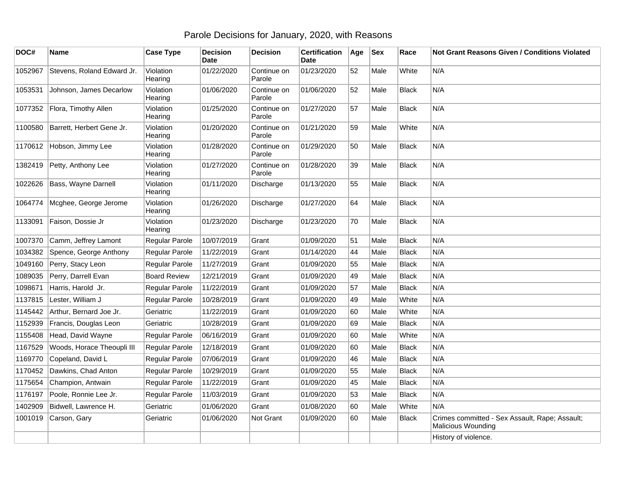## Parole Decisions for January, 2020, with Reasons

| DOC#    | <b>Name</b>                  | <b>Case Type</b>     | <b>Decision</b><br><b>Date</b> | <b>Decision</b>       | <b>Certification</b><br>Date | Age | <b>Sex</b> | Race         | Not Grant Reasons Given / Conditions Violated                               |
|---------|------------------------------|----------------------|--------------------------------|-----------------------|------------------------------|-----|------------|--------------|-----------------------------------------------------------------------------|
| 1052967 | Stevens, Roland Edward Jr.   | Violation<br>Hearing | 01/22/2020                     | Continue on<br>Parole | 01/23/2020                   | 52  | Male       | White        | N/A                                                                         |
| 1053531 | Johnson, James Decarlow      | Violation<br>Hearing | 01/06/2020                     | Continue on<br>Parole | 01/06/2020                   | 52  | Male       | Black        | N/A                                                                         |
|         | 1077352 Flora, Timothy Allen | Violation<br>Hearing | 01/25/2020                     | Continue on<br>Parole | 01/27/2020                   | 57  | Male       | Black        | N/A                                                                         |
| 1100580 | Barrett, Herbert Gene Jr.    | Violation<br>Hearing | 01/20/2020                     | Continue on<br>Parole | 01/21/2020                   | 59  | Male       | White        | N/A                                                                         |
|         | 1170612 Hobson, Jimmy Lee    | Violation<br>Hearing | 01/28/2020                     | Continue on<br>Parole | 01/29/2020                   | 50  | Male       | <b>Black</b> | N/A                                                                         |
| 1382419 | Petty, Anthony Lee           | Violation<br>Hearing | 01/27/2020                     | Continue on<br>Parole | 01/28/2020                   | 39  | Male       | <b>Black</b> | N/A                                                                         |
|         | 1022626 Bass, Wayne Darnell  | Violation<br>Hearing | 01/11/2020                     | Discharge             | 01/13/2020                   | 55  | Male       | Black        | N/A                                                                         |
| 1064774 | Mcghee, George Jerome        | Violation<br>Hearing | 01/26/2020                     | Discharge             | 01/27/2020                   | 64  | Male       | <b>Black</b> | N/A                                                                         |
| 1133091 | Faison, Dossie Jr            | Violation<br>Hearing | 01/23/2020                     | Discharge             | 01/23/2020                   | 70  | Male       | Black        | N/A                                                                         |
| 1007370 | Camm, Jeffrey Lamont         | Regular Parole       | 10/07/2019                     | Grant                 | 01/09/2020                   | 51  | Male       | <b>Black</b> | N/A                                                                         |
| 1034382 | Spence, George Anthony       | Regular Parole       | 11/22/2019                     | Grant                 | 01/14/2020                   | 44  | Male       | Black        | N/A                                                                         |
| 1049160 | Perry, Stacy Leon            | Regular Parole       | 11/27/2019                     | Grant                 | 01/09/2020                   | 55  | Male       | <b>Black</b> | N/A                                                                         |
| 1089035 | Perry, Darrell Evan          | <b>Board Review</b>  | 12/21/2019                     | Grant                 | 01/09/2020                   | 49  | Male       | Black        | N/A                                                                         |
| 1098671 | Harris, Harold Jr.           | Regular Parole       | 11/22/2019                     | Grant                 | 01/09/2020                   | 57  | Male       | <b>Black</b> | N/A                                                                         |
| 1137815 | Lester, William J            | Regular Parole       | 10/28/2019                     | Grant                 | 01/09/2020                   | 49  | Male       | White        | N/A                                                                         |
| 1145442 | Arthur, Bernard Joe Jr.      | Geriatric            | 11/22/2019                     | Grant                 | 01/09/2020                   | 60  | Male       | White        | N/A                                                                         |
| 1152939 | Francis, Douglas Leon        | Geriatric            | 10/28/2019                     | Grant                 | 01/09/2020                   | 69  | Male       | <b>Black</b> | N/A                                                                         |
| 1155408 | Head, David Wayne            | Regular Parole       | 06/16/2019                     | Grant                 | 01/09/2020                   | 60  | Male       | White        | N/A                                                                         |
| 1167529 | Woods, Horace Theoupli III   | Regular Parole       | 12/18/2019                     | Grant                 | 01/09/2020                   | 60  | Male       | <b>Black</b> | N/A                                                                         |
| 1169770 | Copeland, David L            | Regular Parole       | 07/06/2019                     | Grant                 | 01/09/2020                   | 46  | Male       | <b>Black</b> | N/A                                                                         |
| 1170452 | Dawkins, Chad Anton          | Regular Parole       | 10/29/2019                     | Grant                 | 01/09/2020                   | 55  | Male       | <b>Black</b> | N/A                                                                         |
| 1175654 | Champion, Antwain            | Regular Parole       | 11/22/2019                     | Grant                 | 01/09/2020                   | 45  | Male       | <b>Black</b> | N/A                                                                         |
| 1176197 | Poole, Ronnie Lee Jr.        | Regular Parole       | 11/03/2019                     | Grant                 | 01/09/2020                   | 53  | Male       | <b>Black</b> | N/A                                                                         |
| 1402909 | Bidwell, Lawrence H.         | Geriatric            | 01/06/2020                     | Grant                 | 01/08/2020                   | 60  | Male       | White        | N/A                                                                         |
| 1001019 | Carson, Gary                 | Geriatric            | 01/06/2020                     | Not Grant             | 01/09/2020                   | 60  | Male       | Black        | Crimes committed - Sex Assault, Rape; Assault;<br><b>Malicious Wounding</b> |
|         |                              |                      |                                |                       |                              |     |            |              | History of violence.                                                        |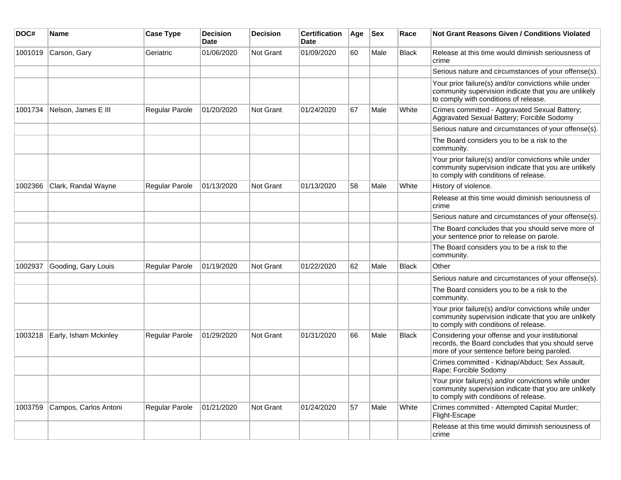| DOC#    | <b>Name</b>           | <b>Case Type</b>      | <b>Decision</b><br><b>Date</b> | <b>Decision</b>  | <b>Certification</b><br>Date | Age | <b>Sex</b> | Race         | <b>Not Grant Reasons Given / Conditions Violated</b>                                                                                                  |
|---------|-----------------------|-----------------------|--------------------------------|------------------|------------------------------|-----|------------|--------------|-------------------------------------------------------------------------------------------------------------------------------------------------------|
| 1001019 | Carson, Gary          | Geriatric             | 01/06/2020                     | Not Grant        | 01/09/2020                   | 60  | Male       | <b>Black</b> | Release at this time would diminish seriousness of<br>crime                                                                                           |
|         |                       |                       |                                |                  |                              |     |            |              | Serious nature and circumstances of your offense(s).                                                                                                  |
|         |                       |                       |                                |                  |                              |     |            |              | Your prior failure(s) and/or convictions while under<br>community supervision indicate that you are unlikely<br>to comply with conditions of release. |
| 1001734 | Nelson, James E III   | Regular Parole        | 01/20/2020                     | Not Grant        | 01/24/2020                   | 67  | Male       | White        | Crimes committed - Aggravated Sexual Battery;<br>Aggravated Sexual Battery; Forcible Sodomy                                                           |
|         |                       |                       |                                |                  |                              |     |            |              | Serious nature and circumstances of your offense(s).                                                                                                  |
|         |                       |                       |                                |                  |                              |     |            |              | The Board considers you to be a risk to the<br>community.                                                                                             |
|         |                       |                       |                                |                  |                              |     |            |              | Your prior failure(s) and/or convictions while under<br>community supervision indicate that you are unlikely<br>to comply with conditions of release. |
| 1002366 | Clark, Randal Wayne   | <b>Regular Parole</b> | 01/13/2020                     | <b>Not Grant</b> | 01/13/2020                   | 58  | Male       | White        | History of violence.                                                                                                                                  |
|         |                       |                       |                                |                  |                              |     |            |              | Release at this time would diminish seriousness of<br>crime                                                                                           |
|         |                       |                       |                                |                  |                              |     |            |              | Serious nature and circumstances of your offense(s).                                                                                                  |
|         |                       |                       |                                |                  |                              |     |            |              | The Board concludes that you should serve more of<br>your sentence prior to release on parole.                                                        |
|         |                       |                       |                                |                  |                              |     |            |              | The Board considers you to be a risk to the<br>community.                                                                                             |
| 1002937 | Gooding, Gary Louis   | Regular Parole        | 01/19/2020                     | <b>Not Grant</b> | 01/22/2020                   | 62  | Male       | <b>Black</b> | Other                                                                                                                                                 |
|         |                       |                       |                                |                  |                              |     |            |              | Serious nature and circumstances of your offense(s).                                                                                                  |
|         |                       |                       |                                |                  |                              |     |            |              | The Board considers you to be a risk to the<br>community.                                                                                             |
|         |                       |                       |                                |                  |                              |     |            |              | Your prior failure(s) and/or convictions while under<br>community supervision indicate that you are unlikely<br>to comply with conditions of release. |
| 1003218 | Early, Isham Mckinley | <b>Regular Parole</b> | 01/29/2020                     | <b>Not Grant</b> | 01/31/2020                   | 66  | Male       | Black        | Considering your offense and your institutional<br>records, the Board concludes that you should serve<br>more of your sentence before being paroled.  |
|         |                       |                       |                                |                  |                              |     |            |              | Crimes committed - Kidnap/Abduct; Sex Assault,<br>Rape; Forcible Sodomy                                                                               |
|         |                       |                       |                                |                  |                              |     |            |              | Your prior failure(s) and/or convictions while under<br>community supervision indicate that you are unlikely<br>to comply with conditions of release. |
| 1003759 | Campos, Carlos Antoni | Regular Parole        | 01/21/2020                     | <b>Not Grant</b> | 01/24/2020                   | 57  | Male       | White        | Crimes committed - Attempted Capital Murder;<br>Flight-Escape                                                                                         |
|         |                       |                       |                                |                  |                              |     |            |              | Release at this time would diminish seriousness of<br>crime                                                                                           |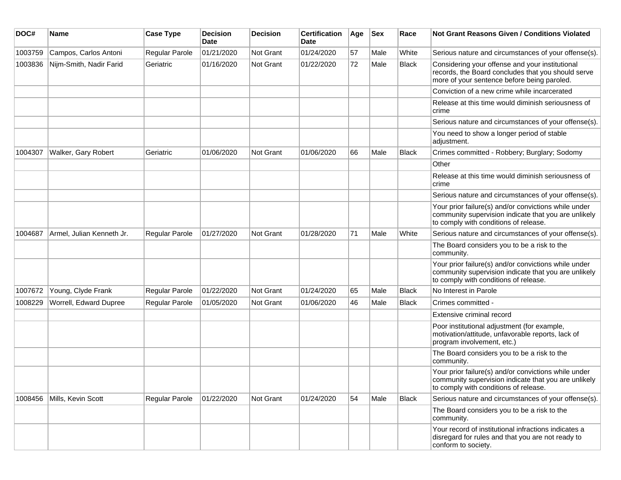| DOC#    | Name                       | <b>Case Type</b> | <b>Decision</b><br>Date | <b>Decision</b>  | <b>Certification</b><br>Date | Age | Sex  | Race         | <b>Not Grant Reasons Given / Conditions Violated</b>                                                                                                  |
|---------|----------------------------|------------------|-------------------------|------------------|------------------------------|-----|------|--------------|-------------------------------------------------------------------------------------------------------------------------------------------------------|
| 1003759 | Campos, Carlos Antoni      | Regular Parole   | 01/21/2020              | Not Grant        | 01/24/2020                   | 57  | Male | White        | Serious nature and circumstances of your offense(s).                                                                                                  |
| 1003836 | Nijm-Smith, Nadir Farid    | Geriatric        | 01/16/2020              | Not Grant        | 01/22/2020                   | 72  | Male | Black        | Considering your offense and your institutional<br>records, the Board concludes that you should serve<br>more of your sentence before being paroled.  |
|         |                            |                  |                         |                  |                              |     |      |              | Conviction of a new crime while incarcerated                                                                                                          |
|         |                            |                  |                         |                  |                              |     |      |              | Release at this time would diminish seriousness of<br>crime                                                                                           |
|         |                            |                  |                         |                  |                              |     |      |              | Serious nature and circumstances of your offense(s).                                                                                                  |
|         |                            |                  |                         |                  |                              |     |      |              | You need to show a longer period of stable<br>adjustment.                                                                                             |
| 1004307 | Walker, Gary Robert        | Geriatric        | 01/06/2020              | <b>Not Grant</b> | 01/06/2020                   | 66  | Male | <b>Black</b> | Crimes committed - Robbery; Burglary; Sodomy                                                                                                          |
|         |                            |                  |                         |                  |                              |     |      |              | Other                                                                                                                                                 |
|         |                            |                  |                         |                  |                              |     |      |              | Release at this time would diminish seriousness of<br>crime                                                                                           |
|         |                            |                  |                         |                  |                              |     |      |              | Serious nature and circumstances of your offense(s).                                                                                                  |
|         |                            |                  |                         |                  |                              |     |      |              | Your prior failure(s) and/or convictions while under<br>community supervision indicate that you are unlikely<br>to comply with conditions of release. |
| 1004687 | Armel, Julian Kenneth Jr.  | Regular Parole   | 01/27/2020              | <b>Not Grant</b> | 01/28/2020                   | 71  | Male | White        | Serious nature and circumstances of your offense(s).                                                                                                  |
|         |                            |                  |                         |                  |                              |     |      |              | The Board considers you to be a risk to the<br>community.                                                                                             |
|         |                            |                  |                         |                  |                              |     |      |              | Your prior failure(s) and/or convictions while under<br>community supervision indicate that you are unlikely<br>to comply with conditions of release. |
| 1007672 | Young, Clyde Frank         | Regular Parole   | 01/22/2020              | <b>Not Grant</b> | 01/24/2020                   | 65  | Male | Black        | No Interest in Parole                                                                                                                                 |
| 1008229 | Worrell, Edward Dupree     | Regular Parole   | 01/05/2020              | <b>Not Grant</b> | 01/06/2020                   | 46  | Male | <b>Black</b> | Crimes committed -                                                                                                                                    |
|         |                            |                  |                         |                  |                              |     |      |              | Extensive criminal record                                                                                                                             |
|         |                            |                  |                         |                  |                              |     |      |              | Poor institutional adjustment (for example,<br>motivation/attitude, unfavorable reports, lack of<br>program involvement, etc.)                        |
|         |                            |                  |                         |                  |                              |     |      |              | The Board considers you to be a risk to the<br>community.                                                                                             |
|         |                            |                  |                         |                  |                              |     |      |              | Your prior failure(s) and/or convictions while under<br>community supervision indicate that you are unlikely<br>to comply with conditions of release. |
|         | 1008456 Mills, Kevin Scott | Regular Parole   | 01/22/2020              | Not Grant        | 01/24/2020                   | 54  | Male | Black        | Serious nature and circumstances of your offense(s).                                                                                                  |
|         |                            |                  |                         |                  |                              |     |      |              | The Board considers you to be a risk to the<br>community.                                                                                             |
|         |                            |                  |                         |                  |                              |     |      |              | Your record of institutional infractions indicates a<br>disregard for rules and that you are not ready to<br>conform to society.                      |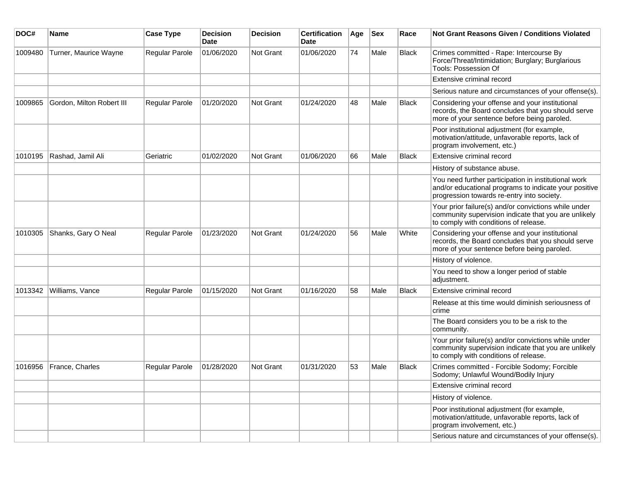| DOC#    | <b>Name</b>               | <b>Case Type</b>      | <b>Decision</b><br><b>Date</b> | <b>Decision</b>  | <b>Certification</b><br>Date | Age | <b>Sex</b> | Race         | <b>Not Grant Reasons Given / Conditions Violated</b>                                                                                                        |
|---------|---------------------------|-----------------------|--------------------------------|------------------|------------------------------|-----|------------|--------------|-------------------------------------------------------------------------------------------------------------------------------------------------------------|
| 1009480 | Turner, Maurice Wayne     | Regular Parole        | 01/06/2020                     | Not Grant        | 01/06/2020                   | 74  | Male       | <b>Black</b> | Crimes committed - Rape: Intercourse By<br>Force/Threat/Intimidation; Burglary; Burglarious<br>Tools: Possession Of                                         |
|         |                           |                       |                                |                  |                              |     |            |              | Extensive criminal record                                                                                                                                   |
|         |                           |                       |                                |                  |                              |     |            |              | Serious nature and circumstances of your offense(s).                                                                                                        |
| 1009865 | Gordon, Milton Robert III | Regular Parole        | 01/20/2020                     | <b>Not Grant</b> | 01/24/2020                   | 48  | Male       | Black        | Considering your offense and your institutional<br>records, the Board concludes that you should serve<br>more of your sentence before being paroled.        |
|         |                           |                       |                                |                  |                              |     |            |              | Poor institutional adjustment (for example,<br>motivation/attitude, unfavorable reports, lack of<br>program involvement, etc.)                              |
| 1010195 | Rashad, Jamil Ali         | Geriatric             | 01/02/2020                     | Not Grant        | 01/06/2020                   | 66  | Male       | Black        | Extensive criminal record                                                                                                                                   |
|         |                           |                       |                                |                  |                              |     |            |              | History of substance abuse.                                                                                                                                 |
|         |                           |                       |                                |                  |                              |     |            |              | You need further participation in institutional work<br>and/or educational programs to indicate your positive<br>progression towards re-entry into society. |
|         |                           |                       |                                |                  |                              |     |            |              | Your prior failure(s) and/or convictions while under<br>community supervision indicate that you are unlikely<br>to comply with conditions of release.       |
| 1010305 | Shanks, Gary O Neal       | Regular Parole        | 01/23/2020                     | <b>Not Grant</b> | 01/24/2020                   | 56  | Male       | White        | Considering your offense and your institutional<br>records, the Board concludes that you should serve<br>more of your sentence before being paroled.        |
|         |                           |                       |                                |                  |                              |     |            |              | History of violence.                                                                                                                                        |
|         |                           |                       |                                |                  |                              |     |            |              | You need to show a longer period of stable<br>adjustment.                                                                                                   |
| 1013342 | Williams, Vance           | <b>Regular Parole</b> | 01/15/2020                     | Not Grant        | 01/16/2020                   | 58  | Male       | <b>Black</b> | Extensive criminal record                                                                                                                                   |
|         |                           |                       |                                |                  |                              |     |            |              | Release at this time would diminish seriousness of<br>crime                                                                                                 |
|         |                           |                       |                                |                  |                              |     |            |              | The Board considers you to be a risk to the<br>community.                                                                                                   |
|         |                           |                       |                                |                  |                              |     |            |              | Your prior failure(s) and/or convictions while under<br>community supervision indicate that you are unlikely<br>to comply with conditions of release.       |
| 1016956 | France, Charles           | Regular Parole        | 01/28/2020                     | Not Grant        | 01/31/2020                   | 53  | Male       | <b>Black</b> | Crimes committed - Forcible Sodomy; Forcible<br>Sodomy; Unlawful Wound/Bodily Injury                                                                        |
|         |                           |                       |                                |                  |                              |     |            |              | Extensive criminal record                                                                                                                                   |
|         |                           |                       |                                |                  |                              |     |            |              | History of violence.                                                                                                                                        |
|         |                           |                       |                                |                  |                              |     |            |              | Poor institutional adjustment (for example,<br>motivation/attitude, unfavorable reports, lack of<br>program involvement, etc.)                              |
|         |                           |                       |                                |                  |                              |     |            |              | Serious nature and circumstances of your offense(s).                                                                                                        |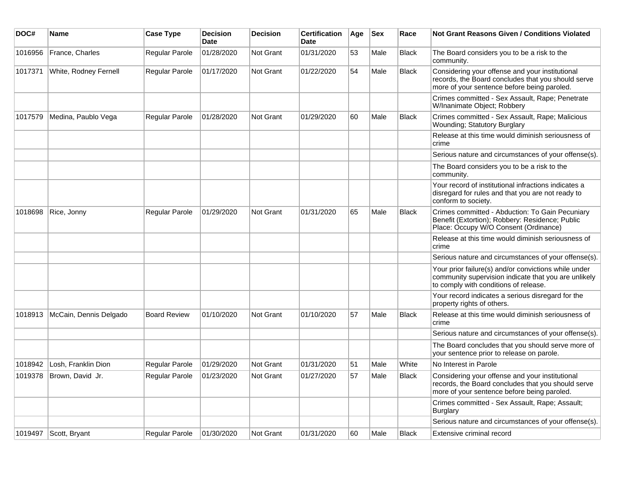| DOC#    | Name                       | <b>Case Type</b>    | <b>Decision</b><br>Date | <b>Decision</b> | <b>Certification</b><br>Date | Age | Sex  | Race         | Not Grant Reasons Given / Conditions Violated                                                                                                         |
|---------|----------------------------|---------------------|-------------------------|-----------------|------------------------------|-----|------|--------------|-------------------------------------------------------------------------------------------------------------------------------------------------------|
| 1016956 | France, Charles            | Regular Parole      | 01/28/2020              | Not Grant       | 01/31/2020                   | 53  | Male | <b>Black</b> | The Board considers you to be a risk to the<br>community.                                                                                             |
| 1017371 | White, Rodney Fernell      | Regular Parole      | 01/17/2020              | Not Grant       | 01/22/2020                   | 54  | Male | Black        | Considering your offense and your institutional<br>records, the Board concludes that you should serve<br>more of your sentence before being paroled.  |
|         |                            |                     |                         |                 |                              |     |      |              | Crimes committed - Sex Assault, Rape; Penetrate<br>W/Inanimate Object; Robbery                                                                        |
| 1017579 | Medina, Paublo Vega        | Regular Parole      | 01/28/2020              | Not Grant       | 01/29/2020                   | 60  | Male | Black        | Crimes committed - Sex Assault, Rape; Malicious<br>Wounding; Statutory Burglary                                                                       |
|         |                            |                     |                         |                 |                              |     |      |              | Release at this time would diminish seriousness of<br>crime                                                                                           |
|         |                            |                     |                         |                 |                              |     |      |              | Serious nature and circumstances of your offense(s).                                                                                                  |
|         |                            |                     |                         |                 |                              |     |      |              | The Board considers you to be a risk to the<br>community.                                                                                             |
|         |                            |                     |                         |                 |                              |     |      |              | Your record of institutional infractions indicates a<br>disregard for rules and that you are not ready to<br>conform to society.                      |
| 1018698 | Rice, Jonny                | Regular Parole      | 01/29/2020              | Not Grant       | 01/31/2020                   | 65  | Male | Black        | Crimes committed - Abduction: To Gain Pecuniary<br>Benefit (Extortion); Robbery: Residence; Public<br>Place: Occupy W/O Consent (Ordinance)           |
|         |                            |                     |                         |                 |                              |     |      |              | Release at this time would diminish seriousness of<br>crime                                                                                           |
|         |                            |                     |                         |                 |                              |     |      |              | Serious nature and circumstances of your offense(s).                                                                                                  |
|         |                            |                     |                         |                 |                              |     |      |              | Your prior failure(s) and/or convictions while under<br>community supervision indicate that you are unlikely<br>to comply with conditions of release. |
|         |                            |                     |                         |                 |                              |     |      |              | Your record indicates a serious disregard for the<br>property rights of others.                                                                       |
| 1018913 | McCain, Dennis Delgado     | <b>Board Review</b> | 01/10/2020              | Not Grant       | 01/10/2020                   | 57  | Male | Black        | Release at this time would diminish seriousness of<br>crime                                                                                           |
|         |                            |                     |                         |                 |                              |     |      |              | Serious nature and circumstances of your offense(s).                                                                                                  |
|         |                            |                     |                         |                 |                              |     |      |              | The Board concludes that you should serve more of<br>your sentence prior to release on parole.                                                        |
| 1018942 | Losh, Franklin Dion        | Regular Parole      | 01/29/2020              | Not Grant       | 01/31/2020                   | 51  | Male | White        | No Interest in Parole                                                                                                                                 |
|         | 1019378   Brown, David Jr. | Regular Parole      | 01/23/2020              | Not Grant       | 01/27/2020                   | 57  | Male | <b>Black</b> | Considering your offense and your institutional<br>records, the Board concludes that you should serve<br>more of your sentence before being paroled.  |
|         |                            |                     |                         |                 |                              |     |      |              | Crimes committed - Sex Assault, Rape; Assault;<br>Burglary                                                                                            |
|         |                            |                     |                         |                 |                              |     |      |              | Serious nature and circumstances of your offense(s).                                                                                                  |
| 1019497 | Scott, Bryant              | Regular Parole      | 01/30/2020              | Not Grant       | 01/31/2020                   | 60  | Male | Black        | Extensive criminal record                                                                                                                             |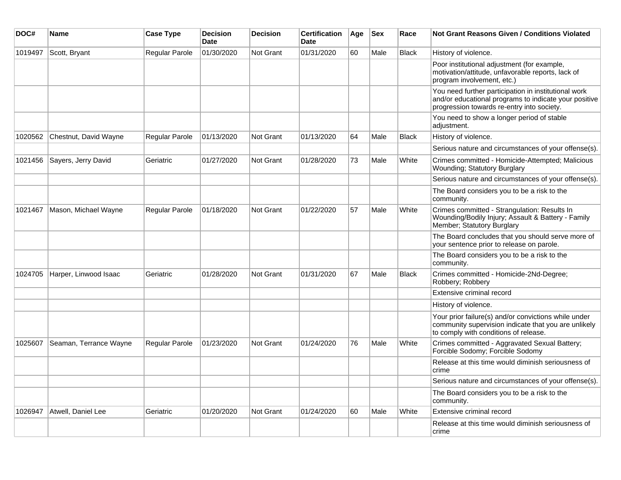| DOC#    | Name                   | <b>Case Type</b>      | <b>Decision</b><br><b>Date</b> | <b>Decision</b>  | <b>Certification</b><br><b>Date</b> | Age | <b>Sex</b> | Race         | <b>Not Grant Reasons Given / Conditions Violated</b>                                                                                                        |
|---------|------------------------|-----------------------|--------------------------------|------------------|-------------------------------------|-----|------------|--------------|-------------------------------------------------------------------------------------------------------------------------------------------------------------|
| 1019497 | Scott, Bryant          | Regular Parole        | 01/30/2020                     | <b>Not Grant</b> | 01/31/2020                          | 60  | Male       | <b>Black</b> | History of violence.                                                                                                                                        |
|         |                        |                       |                                |                  |                                     |     |            |              | Poor institutional adjustment (for example,<br>motivation/attitude, unfavorable reports, lack of<br>program involvement, etc.)                              |
|         |                        |                       |                                |                  |                                     |     |            |              | You need further participation in institutional work<br>and/or educational programs to indicate your positive<br>progression towards re-entry into society. |
|         |                        |                       |                                |                  |                                     |     |            |              | You need to show a longer period of stable<br>adjustment.                                                                                                   |
| 1020562 | Chestnut, David Wayne  | <b>Regular Parole</b> | 01/13/2020                     | Not Grant        | 01/13/2020                          | 64  | Male       | <b>Black</b> | History of violence.                                                                                                                                        |
|         |                        |                       |                                |                  |                                     |     |            |              | Serious nature and circumstances of your offense(s).                                                                                                        |
| 1021456 | Sayers, Jerry David    | Geriatric             | 01/27/2020                     | <b>Not Grant</b> | 01/28/2020                          | 73  | Male       | White        | Crimes committed - Homicide-Attempted; Malicious<br>Wounding; Statutory Burglary                                                                            |
|         |                        |                       |                                |                  |                                     |     |            |              | Serious nature and circumstances of your offense(s).                                                                                                        |
|         |                        |                       |                                |                  |                                     |     |            |              | The Board considers you to be a risk to the<br>community.                                                                                                   |
| 1021467 | Mason, Michael Wayne   | <b>Regular Parole</b> | 01/18/2020                     | <b>Not Grant</b> | 01/22/2020                          | 57  | Male       | White        | Crimes committed - Strangulation: Results In<br>Wounding/Bodily Injury; Assault & Battery - Family<br>Member; Statutory Burglary                            |
|         |                        |                       |                                |                  |                                     |     |            |              | The Board concludes that you should serve more of<br>your sentence prior to release on parole.                                                              |
|         |                        |                       |                                |                  |                                     |     |            |              | The Board considers you to be a risk to the<br>community.                                                                                                   |
| 1024705 | Harper, Linwood Isaac  | Geriatric             | 01/28/2020                     | Not Grant        | 01/31/2020                          | 67  | Male       | <b>Black</b> | Crimes committed - Homicide-2Nd-Degree;<br>Robbery; Robbery                                                                                                 |
|         |                        |                       |                                |                  |                                     |     |            |              | Extensive criminal record                                                                                                                                   |
|         |                        |                       |                                |                  |                                     |     |            |              | History of violence.                                                                                                                                        |
|         |                        |                       |                                |                  |                                     |     |            |              | Your prior failure(s) and/or convictions while under<br>community supervision indicate that you are unlikely<br>to comply with conditions of release.       |
| 1025607 | Seaman, Terrance Wayne | <b>Regular Parole</b> | 01/23/2020                     | Not Grant        | 01/24/2020                          | 76  | Male       | White        | Crimes committed - Aggravated Sexual Battery;<br>Forcible Sodomy; Forcible Sodomy                                                                           |
|         |                        |                       |                                |                  |                                     |     |            |              | Release at this time would diminish seriousness of<br>crime                                                                                                 |
|         |                        |                       |                                |                  |                                     |     |            |              | Serious nature and circumstances of your offense(s).                                                                                                        |
|         |                        |                       |                                |                  |                                     |     |            |              | The Board considers you to be a risk to the<br>community.                                                                                                   |
| 1026947 | Atwell, Daniel Lee     | Geriatric             | 01/20/2020                     | <b>Not Grant</b> | 01/24/2020                          | 60  | Male       | White        | Extensive criminal record                                                                                                                                   |
|         |                        |                       |                                |                  |                                     |     |            |              | Release at this time would diminish seriousness of<br>crime                                                                                                 |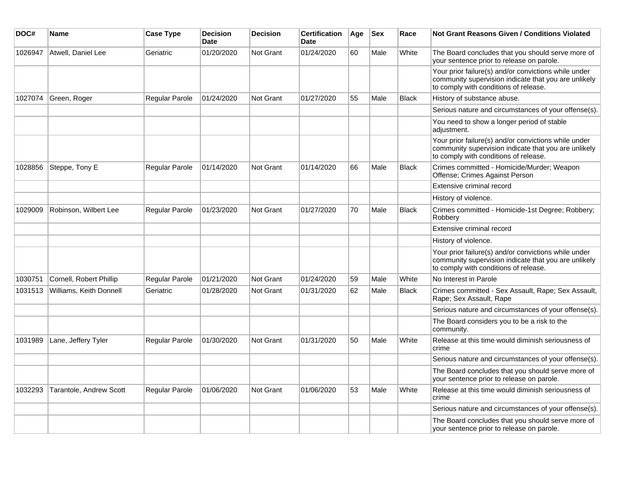| DOC#    | Name                           | <b>Case Type</b>      | <b>Decision</b><br><b>Date</b> | <b>Decision</b>  | <b>Certification</b><br><b>Date</b> | Age | $ $ Sex | Race         | Not Grant Reasons Given / Conditions Violated                                                                                                         |
|---------|--------------------------------|-----------------------|--------------------------------|------------------|-------------------------------------|-----|---------|--------------|-------------------------------------------------------------------------------------------------------------------------------------------------------|
| 1026947 | Atwell, Daniel Lee             | Geriatric             | 01/20/2020                     | <b>Not Grant</b> | 01/24/2020                          | 60  | Male    | White        | The Board concludes that you should serve more of<br>your sentence prior to release on parole.                                                        |
|         |                                |                       |                                |                  |                                     |     |         |              | Your prior failure(s) and/or convictions while under<br>community supervision indicate that you are unlikely<br>to comply with conditions of release. |
| 1027074 | Green, Roger                   | Regular Parole        | 01/24/2020                     | <b>Not Grant</b> | 01/27/2020                          | 55  | Male    | <b>Black</b> | History of substance abuse.                                                                                                                           |
|         |                                |                       |                                |                  |                                     |     |         |              | Serious nature and circumstances of your offense(s).                                                                                                  |
|         |                                |                       |                                |                  |                                     |     |         |              | You need to show a longer period of stable<br>adjustment.                                                                                             |
|         |                                |                       |                                |                  |                                     |     |         |              | Your prior failure(s) and/or convictions while under<br>community supervision indicate that you are unlikely<br>to comply with conditions of release. |
| 1028856 | Steppe, Tony E                 | Regular Parole        | 01/14/2020                     | <b>Not Grant</b> | 01/14/2020                          | 66  | Male    | <b>Black</b> | Crimes committed - Homicide/Murder; Weapon<br>Offense; Crimes Against Person                                                                          |
|         |                                |                       |                                |                  |                                     |     |         |              | Extensive criminal record                                                                                                                             |
|         |                                |                       |                                |                  |                                     |     |         |              | History of violence.                                                                                                                                  |
| 1029009 | Robinson, Wilbert Lee          | Regular Parole        | 01/23/2020                     | <b>Not Grant</b> | 01/27/2020                          | 70  | Male    | <b>Black</b> | Crimes committed - Homicide-1st Degree; Robbery;<br>Robbery                                                                                           |
|         |                                |                       |                                |                  |                                     |     |         |              | Extensive criminal record                                                                                                                             |
|         |                                |                       |                                |                  |                                     |     |         |              | History of violence.                                                                                                                                  |
|         |                                |                       |                                |                  |                                     |     |         |              | Your prior failure(s) and/or convictions while under<br>community supervision indicate that you are unlikely<br>to comply with conditions of release. |
| 1030751 | Cornell, Robert Phillip        | Regular Parole        | 01/21/2020                     | <b>Not Grant</b> | 01/24/2020                          | 59  | Male    | White        | No Interest in Parole                                                                                                                                 |
| 1031513 | <b>Williams, Keith Donnell</b> | Geriatric             | 01/28/2020                     | Not Grant        | 01/31/2020                          | 62  | Male    | <b>Black</b> | Crimes committed - Sex Assault, Rape; Sex Assault,<br>Rape; Sex Assault, Rape                                                                         |
|         |                                |                       |                                |                  |                                     |     |         |              | Serious nature and circumstances of your offense(s).                                                                                                  |
|         |                                |                       |                                |                  |                                     |     |         |              | The Board considers you to be a risk to the<br>community.                                                                                             |
| 1031989 | Lane, Jeffery Tyler            | Regular Parole        | 01/30/2020                     | <b>Not Grant</b> | 01/31/2020                          | 50  | Male    | White        | Release at this time would diminish seriousness of<br>crime                                                                                           |
|         |                                |                       |                                |                  |                                     |     |         |              | Serious nature and circumstances of your offense(s).                                                                                                  |
|         |                                |                       |                                |                  |                                     |     |         |              | The Board concludes that you should serve more of<br>your sentence prior to release on parole.                                                        |
| 1032293 | Tarantole, Andrew Scott        | <b>Regular Parole</b> | 01/06/2020                     | <b>Not Grant</b> | 01/06/2020                          | 53  | Male    | White        | Release at this time would diminish seriousness of<br>crime                                                                                           |
|         |                                |                       |                                |                  |                                     |     |         |              | Serious nature and circumstances of your offense(s).                                                                                                  |
|         |                                |                       |                                |                  |                                     |     |         |              | The Board concludes that you should serve more of<br>your sentence prior to release on parole.                                                        |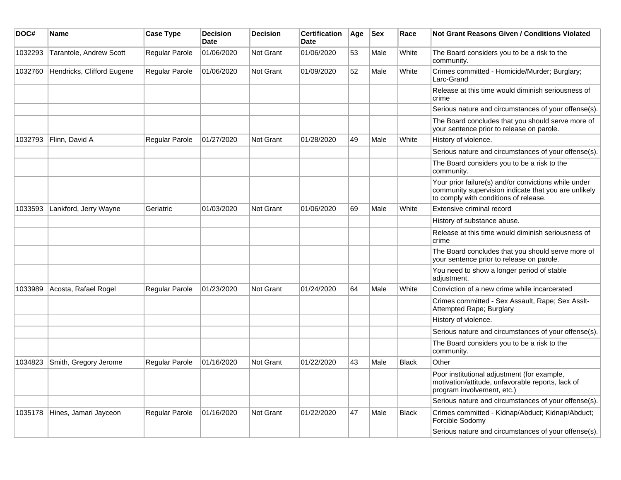| DOC#    | Name                       | <b>Case Type</b>      | <b>Decision</b><br><b>Date</b> | <b>Decision</b>  | <b>Certification</b><br>Date | Age | <b>Sex</b> | Race         | <b>Not Grant Reasons Given / Conditions Violated</b>                                                                                                  |
|---------|----------------------------|-----------------------|--------------------------------|------------------|------------------------------|-----|------------|--------------|-------------------------------------------------------------------------------------------------------------------------------------------------------|
| 1032293 | Tarantole, Andrew Scott    | <b>Regular Parole</b> | 01/06/2020                     | Not Grant        | 01/06/2020                   | 53  | Male       | White        | The Board considers you to be a risk to the<br>community.                                                                                             |
| 1032760 | Hendricks, Clifford Eugene | Regular Parole        | 01/06/2020                     | <b>Not Grant</b> | 01/09/2020                   | 52  | Male       | White        | Crimes committed - Homicide/Murder; Burglary;<br>Larc-Grand                                                                                           |
|         |                            |                       |                                |                  |                              |     |            |              | Release at this time would diminish seriousness of<br>crime                                                                                           |
|         |                            |                       |                                |                  |                              |     |            |              | Serious nature and circumstances of your offense(s).                                                                                                  |
|         |                            |                       |                                |                  |                              |     |            |              | The Board concludes that you should serve more of<br>your sentence prior to release on parole.                                                        |
| 1032793 | Flinn, David A             | Regular Parole        | 01/27/2020                     | <b>Not Grant</b> | 01/28/2020                   | 49  | Male       | White        | History of violence.                                                                                                                                  |
|         |                            |                       |                                |                  |                              |     |            |              | Serious nature and circumstances of your offense(s).                                                                                                  |
|         |                            |                       |                                |                  |                              |     |            |              | The Board considers you to be a risk to the<br>community.                                                                                             |
|         |                            |                       |                                |                  |                              |     |            |              | Your prior failure(s) and/or convictions while under<br>community supervision indicate that you are unlikely<br>to comply with conditions of release. |
| 1033593 | Lankford, Jerry Wayne      | Geriatric             | 01/03/2020                     | Not Grant        | 01/06/2020                   | 69  | Male       | White        | Extensive criminal record                                                                                                                             |
|         |                            |                       |                                |                  |                              |     |            |              | History of substance abuse.                                                                                                                           |
|         |                            |                       |                                |                  |                              |     |            |              | Release at this time would diminish seriousness of<br>crime                                                                                           |
|         |                            |                       |                                |                  |                              |     |            |              | The Board concludes that you should serve more of<br>your sentence prior to release on parole.                                                        |
|         |                            |                       |                                |                  |                              |     |            |              | You need to show a longer period of stable<br>adjustment.                                                                                             |
| 1033989 | Acosta, Rafael Rogel       | <b>Regular Parole</b> | 01/23/2020                     | <b>Not Grant</b> | 01/24/2020                   | 64  | Male       | White        | Conviction of a new crime while incarcerated                                                                                                          |
|         |                            |                       |                                |                  |                              |     |            |              | Crimes committed - Sex Assault, Rape; Sex Asslt-<br>Attempted Rape; Burglary                                                                          |
|         |                            |                       |                                |                  |                              |     |            |              | History of violence.                                                                                                                                  |
|         |                            |                       |                                |                  |                              |     |            |              | Serious nature and circumstances of your offense(s).                                                                                                  |
|         |                            |                       |                                |                  |                              |     |            |              | The Board considers you to be a risk to the<br>community.                                                                                             |
| 1034823 | Smith, Gregory Jerome      | <b>Regular Parole</b> | 01/16/2020                     | <b>Not Grant</b> | 01/22/2020                   | 43  | Male       | <b>Black</b> | Other                                                                                                                                                 |
|         |                            |                       |                                |                  |                              |     |            |              | Poor institutional adjustment (for example,<br>motivation/attitude, unfavorable reports, lack of<br>program involvement, etc.)                        |
|         |                            |                       |                                |                  |                              |     |            |              | Serious nature and circumstances of your offense(s).                                                                                                  |
| 1035178 | Hines, Jamari Jayceon      | <b>Regular Parole</b> | 01/16/2020                     | <b>Not Grant</b> | 01/22/2020                   | 47  | Male       | Black        | Crimes committed - Kidnap/Abduct; Kidnap/Abduct;<br>Forcible Sodomy                                                                                   |
|         |                            |                       |                                |                  |                              |     |            |              | Serious nature and circumstances of your offense(s).                                                                                                  |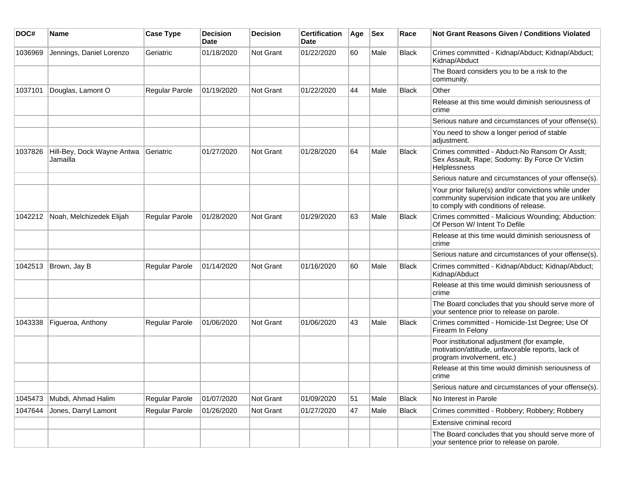| DOC#    | Name                                   | <b>Case Type</b>      | <b>Decision</b><br><b>Date</b> | <b>Decision</b>  | <b>Certification</b><br>Date | Age | <b>Sex</b> | Race  | <b>Not Grant Reasons Given / Conditions Violated</b>                                                                                                  |
|---------|----------------------------------------|-----------------------|--------------------------------|------------------|------------------------------|-----|------------|-------|-------------------------------------------------------------------------------------------------------------------------------------------------------|
| 1036969 | Jennings, Daniel Lorenzo               | Geriatric             | 01/18/2020                     | Not Grant        | 01/22/2020                   | 60  | Male       | Black | Crimes committed - Kidnap/Abduct; Kidnap/Abduct;<br>Kidnap/Abduct                                                                                     |
|         |                                        |                       |                                |                  |                              |     |            |       | The Board considers you to be a risk to the<br>community.                                                                                             |
| 1037101 | Douglas, Lamont O                      | <b>Regular Parole</b> | 01/19/2020                     | <b>Not Grant</b> | 01/22/2020                   | 44  | Male       | Black | Other                                                                                                                                                 |
|         |                                        |                       |                                |                  |                              |     |            |       | Release at this time would diminish seriousness of<br>crime                                                                                           |
|         |                                        |                       |                                |                  |                              |     |            |       | Serious nature and circumstances of your offense(s).                                                                                                  |
|         |                                        |                       |                                |                  |                              |     |            |       | You need to show a longer period of stable<br>adjustment.                                                                                             |
| 1037826 | Hill-Bey, Dock Wayne Antwa<br>Jamailla | Geriatric             | 01/27/2020                     | Not Grant        | 01/28/2020                   | 64  | Male       | Black | Crimes committed - Abduct-No Ransom Or Asslt;<br>Sex Assault, Rape; Sodomy: By Force Or Victim<br>Helplessness                                        |
|         |                                        |                       |                                |                  |                              |     |            |       | Serious nature and circumstances of your offense(s).                                                                                                  |
|         |                                        |                       |                                |                  |                              |     |            |       | Your prior failure(s) and/or convictions while under<br>community supervision indicate that you are unlikely<br>to comply with conditions of release. |
| 1042212 | Noah, Melchizedek Elijah               | Regular Parole        | 01/28/2020                     | Not Grant        | 01/29/2020                   | 63  | Male       | Black | Crimes committed - Malicious Wounding; Abduction:<br>Of Person W/ Intent To Defile                                                                    |
|         |                                        |                       |                                |                  |                              |     |            |       | Release at this time would diminish seriousness of<br>crime                                                                                           |
|         |                                        |                       |                                |                  |                              |     |            |       | Serious nature and circumstances of your offense(s).                                                                                                  |
| 1042513 | Brown, Jay B                           | Regular Parole        | 01/14/2020                     | Not Grant        | 01/16/2020                   | 60  | Male       | Black | Crimes committed - Kidnap/Abduct; Kidnap/Abduct;<br>Kidnap/Abduct                                                                                     |
|         |                                        |                       |                                |                  |                              |     |            |       | Release at this time would diminish seriousness of<br>crime                                                                                           |
|         |                                        |                       |                                |                  |                              |     |            |       | The Board concludes that you should serve more of<br>your sentence prior to release on parole.                                                        |
| 1043338 | Figueroa, Anthony                      | Regular Parole        | 01/06/2020                     | Not Grant        | 01/06/2020                   | 43  | Male       | Black | Crimes committed - Homicide-1st Degree; Use Of<br>Firearm In Felony                                                                                   |
|         |                                        |                       |                                |                  |                              |     |            |       | Poor institutional adjustment (for example,<br>motivation/attitude, unfavorable reports, lack of<br>program involvement, etc.)                        |
|         |                                        |                       |                                |                  |                              |     |            |       | Release at this time would diminish seriousness of<br>crime                                                                                           |
|         |                                        |                       |                                |                  |                              |     |            |       | Serious nature and circumstances of your offense(s).                                                                                                  |
| 1045473 | Mubdi, Ahmad Halim                     | Regular Parole        | 01/07/2020                     | Not Grant        | 01/09/2020                   | 51  | Male       | Black | No Interest in Parole                                                                                                                                 |
| 1047644 | Jones, Darryl Lamont                   | Regular Parole        | 01/26/2020                     | Not Grant        | 01/27/2020                   | 47  | Male       | Black | Crimes committed - Robbery; Robbery; Robbery                                                                                                          |
|         |                                        |                       |                                |                  |                              |     |            |       | Extensive criminal record                                                                                                                             |
|         |                                        |                       |                                |                  |                              |     |            |       | The Board concludes that you should serve more of<br>your sentence prior to release on parole.                                                        |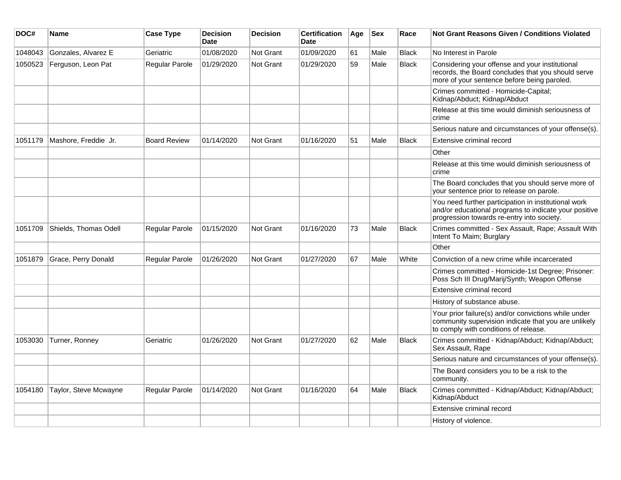| DOC#    | Name                  | <b>Case Type</b>      | <b>Decision</b><br><b>Date</b> | <b>Decision</b>  | <b>Certification</b><br><b>Date</b> | Age | <b>Sex</b> | Race         | <b>Not Grant Reasons Given / Conditions Violated</b>                                                                                                        |
|---------|-----------------------|-----------------------|--------------------------------|------------------|-------------------------------------|-----|------------|--------------|-------------------------------------------------------------------------------------------------------------------------------------------------------------|
| 1048043 | Gonzales, Alvarez E   | Geriatric             | 01/08/2020                     | Not Grant        | 01/09/2020                          | 61  | Male       | <b>Black</b> | No Interest in Parole                                                                                                                                       |
| 1050523 | Ferguson, Leon Pat    | <b>Regular Parole</b> | 01/29/2020                     | Not Grant        | 01/29/2020                          | 59  | Male       | <b>Black</b> | Considering your offense and your institutional<br>records, the Board concludes that you should serve<br>more of your sentence before being paroled.        |
|         |                       |                       |                                |                  |                                     |     |            |              | Crimes committed - Homicide-Capital;<br>Kidnap/Abduct; Kidnap/Abduct                                                                                        |
|         |                       |                       |                                |                  |                                     |     |            |              | Release at this time would diminish seriousness of<br>crime                                                                                                 |
|         |                       |                       |                                |                  |                                     |     |            |              | Serious nature and circumstances of your offense(s).                                                                                                        |
| 1051179 | Mashore, Freddie Jr.  | <b>Board Review</b>   | 01/14/2020                     | <b>Not Grant</b> | 01/16/2020                          | 51  | Male       | <b>Black</b> | Extensive criminal record                                                                                                                                   |
|         |                       |                       |                                |                  |                                     |     |            |              | Other                                                                                                                                                       |
|         |                       |                       |                                |                  |                                     |     |            |              | Release at this time would diminish seriousness of<br>crime                                                                                                 |
|         |                       |                       |                                |                  |                                     |     |            |              | The Board concludes that you should serve more of<br>your sentence prior to release on parole.                                                              |
|         |                       |                       |                                |                  |                                     |     |            |              | You need further participation in institutional work<br>and/or educational programs to indicate your positive<br>progression towards re-entry into society. |
| 1051709 | Shields, Thomas Odell | <b>Regular Parole</b> | 01/15/2020                     | <b>Not Grant</b> | 01/16/2020                          | 73  | Male       | <b>Black</b> | Crimes committed - Sex Assault, Rape; Assault With<br>Intent To Maim; Burglary                                                                              |
|         |                       |                       |                                |                  |                                     |     |            |              | Other                                                                                                                                                       |
| 1051879 | Grace, Perry Donald   | Regular Parole        | 01/26/2020                     | Not Grant        | 01/27/2020                          | 67  | Male       | White        | Conviction of a new crime while incarcerated                                                                                                                |
|         |                       |                       |                                |                  |                                     |     |            |              | Crimes committed - Homicide-1st Degree; Prisoner:<br>Poss Sch III Drug/Marij/Synth; Weapon Offense                                                          |
|         |                       |                       |                                |                  |                                     |     |            |              | Extensive criminal record                                                                                                                                   |
|         |                       |                       |                                |                  |                                     |     |            |              | History of substance abuse.                                                                                                                                 |
|         |                       |                       |                                |                  |                                     |     |            |              | Your prior failure(s) and/or convictions while under<br>community supervision indicate that you are unlikely<br>to comply with conditions of release.       |
| 1053030 | Turner, Ronney        | Geriatric             | 01/26/2020                     | Not Grant        | 01/27/2020                          | 62  | Male       | <b>Black</b> | Crimes committed - Kidnap/Abduct; Kidnap/Abduct;<br>Sex Assault, Rape                                                                                       |
|         |                       |                       |                                |                  |                                     |     |            |              | Serious nature and circumstances of your offense(s).                                                                                                        |
|         |                       |                       |                                |                  |                                     |     |            |              | The Board considers you to be a risk to the<br>community.                                                                                                   |
| 1054180 | Taylor, Steve Mcwayne | Regular Parole        | 01/14/2020                     | <b>Not Grant</b> | 01/16/2020                          | 64  | Male       | <b>Black</b> | Crimes committed - Kidnap/Abduct; Kidnap/Abduct;<br>Kidnap/Abduct                                                                                           |
|         |                       |                       |                                |                  |                                     |     |            |              | Extensive criminal record                                                                                                                                   |
|         |                       |                       |                                |                  |                                     |     |            |              | History of violence.                                                                                                                                        |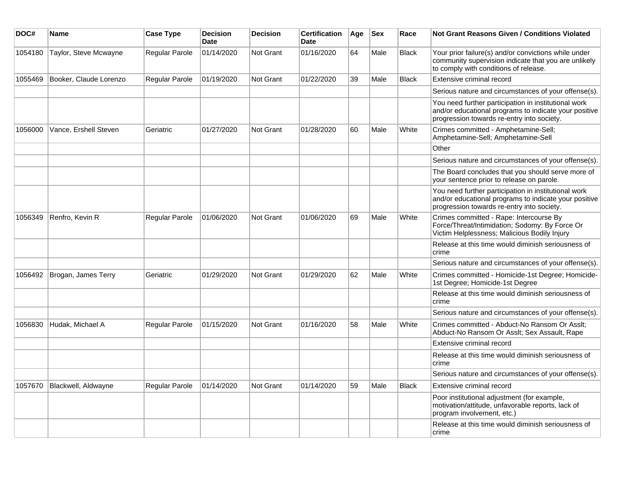| DOC#    | Name                   | <b>Case Type</b>      | <b>Decision</b><br><b>Date</b> | <b>Decision</b>  | <b>Certification</b><br><b>Date</b> | Age | <b>Sex</b> | Race         | <b>Not Grant Reasons Given / Conditions Violated</b>                                                                                                        |
|---------|------------------------|-----------------------|--------------------------------|------------------|-------------------------------------|-----|------------|--------------|-------------------------------------------------------------------------------------------------------------------------------------------------------------|
| 1054180 | Taylor, Steve Mcwayne  | Regular Parole        | 01/14/2020                     | Not Grant        | 01/16/2020                          | 64  | Male       | <b>Black</b> | Your prior failure(s) and/or convictions while under<br>community supervision indicate that you are unlikely<br>to comply with conditions of release.       |
| 1055469 | Booker, Claude Lorenzo | Regular Parole        | 01/19/2020                     | Not Grant        | 01/22/2020                          | 39  | Male       | <b>Black</b> | <b>Extensive criminal record</b>                                                                                                                            |
|         |                        |                       |                                |                  |                                     |     |            |              | Serious nature and circumstances of your offense(s).                                                                                                        |
|         |                        |                       |                                |                  |                                     |     |            |              | You need further participation in institutional work<br>and/or educational programs to indicate your positive<br>progression towards re-entry into society. |
| 1056000 | Vance, Ershell Steven  | Geriatric             | 01/27/2020                     | Not Grant        | 01/28/2020                          | 60  | Male       | White        | Crimes committed - Amphetamine-Sell;<br>Amphetamine-Sell; Amphetamine-Sell                                                                                  |
|         |                        |                       |                                |                  |                                     |     |            |              | Other                                                                                                                                                       |
|         |                        |                       |                                |                  |                                     |     |            |              | Serious nature and circumstances of your offense(s).                                                                                                        |
|         |                        |                       |                                |                  |                                     |     |            |              | The Board concludes that you should serve more of<br>your sentence prior to release on parole.                                                              |
|         |                        |                       |                                |                  |                                     |     |            |              | You need further participation in institutional work<br>and/or educational programs to indicate your positive<br>progression towards re-entry into society. |
| 1056349 | Renfro, Kevin R        | Regular Parole        | 01/06/2020                     | <b>Not Grant</b> | 01/06/2020                          | 69  | Male       | White        | Crimes committed - Rape: Intercourse By<br>Force/Threat/Intimidation; Sodomy: By Force Or<br>Victim Helplessness; Malicious Bodily Injury                   |
|         |                        |                       |                                |                  |                                     |     |            |              | Release at this time would diminish seriousness of<br>crime                                                                                                 |
|         |                        |                       |                                |                  |                                     |     |            |              | Serious nature and circumstances of your offense(s).                                                                                                        |
| 1056492 | Brogan, James Terry    | Geriatric             | 01/29/2020                     | Not Grant        | 01/29/2020                          | 62  | Male       | White        | Crimes committed - Homicide-1st Degree; Homicide-<br>1st Degree; Homicide-1st Degree                                                                        |
|         |                        |                       |                                |                  |                                     |     |            |              | Release at this time would diminish seriousness of<br>crime                                                                                                 |
|         |                        |                       |                                |                  |                                     |     |            |              | Serious nature and circumstances of your offense(s).                                                                                                        |
| 1056830 | Hudak, Michael A       | <b>Regular Parole</b> | 01/15/2020                     | Not Grant        | 01/16/2020                          | 58  | Male       | White        | Crimes committed - Abduct-No Ransom Or Asslt;<br>Abduct-No Ransom Or Asslt; Sex Assault, Rape                                                               |
|         |                        |                       |                                |                  |                                     |     |            |              | Extensive criminal record                                                                                                                                   |
|         |                        |                       |                                |                  |                                     |     |            |              | Release at this time would diminish seriousness of<br>crime                                                                                                 |
|         |                        |                       |                                |                  |                                     |     |            |              | Serious nature and circumstances of your offense(s).                                                                                                        |
| 1057670 | Blackwell, Aldwayne    | <b>Regular Parole</b> | 01/14/2020                     | Not Grant        | 01/14/2020                          | 59  | Male       | <b>Black</b> | Extensive criminal record                                                                                                                                   |
|         |                        |                       |                                |                  |                                     |     |            |              | Poor institutional adjustment (for example,<br>motivation/attitude, unfavorable reports, lack of<br>program involvement, etc.)                              |
|         |                        |                       |                                |                  |                                     |     |            |              | Release at this time would diminish seriousness of<br>crime                                                                                                 |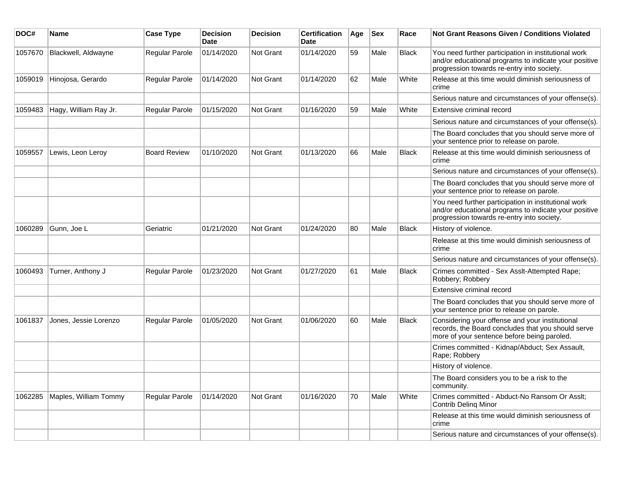| DOC#    | <b>Name</b>           | <b>Case Type</b>    | <b>Decision</b><br>Date | <b>Decision</b>  | <b>Certification</b><br>Date | Age | <b>Sex</b> | Race         | Not Grant Reasons Given / Conditions Violated                                                                                                               |
|---------|-----------------------|---------------------|-------------------------|------------------|------------------------------|-----|------------|--------------|-------------------------------------------------------------------------------------------------------------------------------------------------------------|
| 1057670 | Blackwell, Aldwayne   | Regular Parole      | 01/14/2020              | Not Grant        | 01/14/2020                   | 59  | Male       | <b>Black</b> | You need further participation in institutional work<br>and/or educational programs to indicate your positive<br>progression towards re-entry into society. |
| 1059019 | Hinojosa, Gerardo     | Regular Parole      | 01/14/2020              | Not Grant        | 01/14/2020                   | 62  | Male       | White        | Release at this time would diminish seriousness of<br>crime                                                                                                 |
|         |                       |                     |                         |                  |                              |     |            |              | Serious nature and circumstances of your offense(s).                                                                                                        |
| 1059483 | Hagy, William Ray Jr. | Regular Parole      | 01/15/2020              | Not Grant        | 01/16/2020                   | 59  | Male       | White        | Extensive criminal record                                                                                                                                   |
|         |                       |                     |                         |                  |                              |     |            |              | Serious nature and circumstances of your offense(s).                                                                                                        |
|         |                       |                     |                         |                  |                              |     |            |              | The Board concludes that you should serve more of<br>your sentence prior to release on parole.                                                              |
| 1059557 | Lewis, Leon Leroy     | <b>Board Review</b> | 01/10/2020              | Not Grant        | 01/13/2020                   | 66  | Male       | <b>Black</b> | Release at this time would diminish seriousness of<br>crime                                                                                                 |
|         |                       |                     |                         |                  |                              |     |            |              | Serious nature and circumstances of your offense(s).                                                                                                        |
|         |                       |                     |                         |                  |                              |     |            |              | The Board concludes that you should serve more of<br>your sentence prior to release on parole.                                                              |
|         |                       |                     |                         |                  |                              |     |            |              | You need further participation in institutional work<br>and/or educational programs to indicate your positive<br>progression towards re-entry into society. |
| 1060289 | Gunn, Joe L           | Geriatric           | 01/21/2020              | <b>Not Grant</b> | 01/24/2020                   | 80  | Male       | <b>Black</b> | History of violence.                                                                                                                                        |
|         |                       |                     |                         |                  |                              |     |            |              | Release at this time would diminish seriousness of<br>crime                                                                                                 |
|         |                       |                     |                         |                  |                              |     |            |              | Serious nature and circumstances of your offense(s).                                                                                                        |
| 1060493 | Turner, Anthony J     | Regular Parole      | 01/23/2020              | Not Grant        | 01/27/2020                   | 61  | Male       | <b>Black</b> | Crimes committed - Sex Asslt-Attempted Rape;<br>Robbery; Robbery                                                                                            |
|         |                       |                     |                         |                  |                              |     |            |              | Extensive criminal record                                                                                                                                   |
|         |                       |                     |                         |                  |                              |     |            |              | The Board concludes that you should serve more of<br>your sentence prior to release on parole.                                                              |
| 1061837 | Jones, Jessie Lorenzo | Regular Parole      | 01/05/2020              | <b>Not Grant</b> | 01/06/2020                   | 60  | Male       | Black        | Considering your offense and your institutional<br>records, the Board concludes that you should serve<br>more of your sentence before being paroled.        |
|         |                       |                     |                         |                  |                              |     |            |              | Crimes committed - Kidnap/Abduct; Sex Assault,<br>Rape; Robbery                                                                                             |
|         |                       |                     |                         |                  |                              |     |            |              | History of violence.                                                                                                                                        |
|         |                       |                     |                         |                  |                              |     |            |              | The Board considers you to be a risk to the<br>community.                                                                                                   |
| 1062285 | Maples, William Tommy | Regular Parole      | 01/14/2020              | Not Grant        | 01/16/2020                   | 70  | Male       | White        | Crimes committed - Abduct-No Ransom Or Asslt;<br><b>Contrib Deling Minor</b>                                                                                |
|         |                       |                     |                         |                  |                              |     |            |              | Release at this time would diminish seriousness of<br>crime                                                                                                 |
|         |                       |                     |                         |                  |                              |     |            |              | Serious nature and circumstances of your offense(s).                                                                                                        |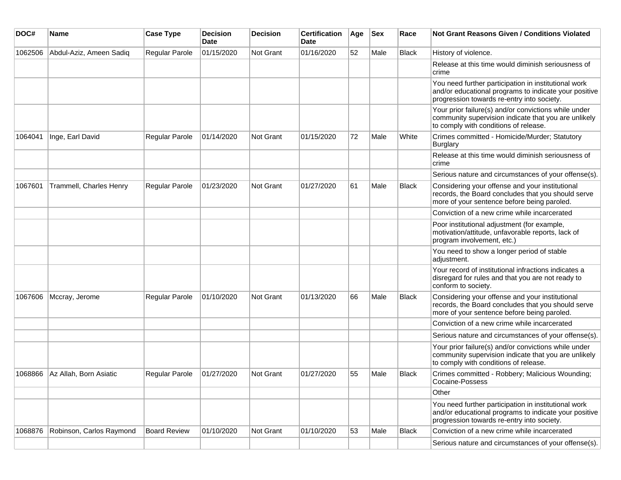| DOC#    | <b>Name</b>              | <b>Case Type</b>      | <b>Decision</b><br>Date | <b>Decision</b> | <b>Certification</b><br><b>Date</b> | Age | <b>Sex</b> | Race         | Not Grant Reasons Given / Conditions Violated                                                                                                               |
|---------|--------------------------|-----------------------|-------------------------|-----------------|-------------------------------------|-----|------------|--------------|-------------------------------------------------------------------------------------------------------------------------------------------------------------|
| 1062506 | Abdul-Aziz, Ameen Sadiq  | <b>Regular Parole</b> | 01/15/2020              | Not Grant       | 01/16/2020                          | 52  | Male       | <b>Black</b> | History of violence.                                                                                                                                        |
|         |                          |                       |                         |                 |                                     |     |            |              | Release at this time would diminish seriousness of<br>crime                                                                                                 |
|         |                          |                       |                         |                 |                                     |     |            |              | You need further participation in institutional work<br>and/or educational programs to indicate your positive<br>progression towards re-entry into society. |
|         |                          |                       |                         |                 |                                     |     |            |              | Your prior failure(s) and/or convictions while under<br>community supervision indicate that you are unlikely<br>to comply with conditions of release.       |
| 1064041 | Inge, Earl David         | Regular Parole        | 01/14/2020              | Not Grant       | 01/15/2020                          | 72  | Male       | White        | Crimes committed - Homicide/Murder; Statutory<br>Burglary                                                                                                   |
|         |                          |                       |                         |                 |                                     |     |            |              | Release at this time would diminish seriousness of<br>crime                                                                                                 |
|         |                          |                       |                         |                 |                                     |     |            |              | Serious nature and circumstances of your offense(s).                                                                                                        |
| 1067601 | Trammell, Charles Henry  | Regular Parole        | 01/23/2020              | Not Grant       | 01/27/2020                          | 61  | Male       | <b>Black</b> | Considering your offense and your institutional<br>records, the Board concludes that you should serve<br>more of your sentence before being paroled.        |
|         |                          |                       |                         |                 |                                     |     |            |              | Conviction of a new crime while incarcerated                                                                                                                |
|         |                          |                       |                         |                 |                                     |     |            |              | Poor institutional adjustment (for example,<br>motivation/attitude, unfavorable reports, lack of<br>program involvement, etc.)                              |
|         |                          |                       |                         |                 |                                     |     |            |              | You need to show a longer period of stable<br>adjustment.                                                                                                   |
|         |                          |                       |                         |                 |                                     |     |            |              | Your record of institutional infractions indicates a<br>disregard for rules and that you are not ready to<br>conform to society.                            |
| 1067606 | Mccray, Jerome           | Regular Parole        | 01/10/2020              | Not Grant       | 01/13/2020                          | 66  | Male       | Black        | Considering your offense and your institutional<br>records, the Board concludes that you should serve<br>more of your sentence before being paroled.        |
|         |                          |                       |                         |                 |                                     |     |            |              | Conviction of a new crime while incarcerated                                                                                                                |
|         |                          |                       |                         |                 |                                     |     |            |              | Serious nature and circumstances of your offense(s).                                                                                                        |
|         |                          |                       |                         |                 |                                     |     |            |              | Your prior failure(s) and/or convictions while under<br>community supervision indicate that you are unlikely<br>to comply with conditions of release.       |
| 1068866 | Az Allah, Born Asiatic   | Regular Parole        | 01/27/2020              | Not Grant       | 01/27/2020                          | 55  | Male       | Black        | Crimes committed - Robbery; Malicious Wounding;<br>Cocaine-Possess                                                                                          |
|         |                          |                       |                         |                 |                                     |     |            |              | Other                                                                                                                                                       |
|         |                          |                       |                         |                 |                                     |     |            |              | You need further participation in institutional work<br>and/or educational programs to indicate your positive<br>progression towards re-entry into society. |
| 1068876 | Robinson, Carlos Raymond | <b>Board Review</b>   | 01/10/2020              | Not Grant       | 01/10/2020                          | 53  | Male       | <b>Black</b> | Conviction of a new crime while incarcerated                                                                                                                |
|         |                          |                       |                         |                 |                                     |     |            |              | Serious nature and circumstances of your offense(s).                                                                                                        |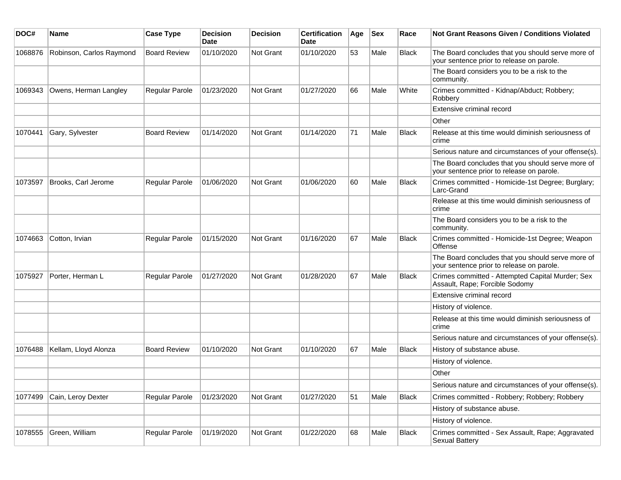| DOC#    | Name                     | <b>Case Type</b>    | <b>Decision</b><br><b>Date</b> | <b>Decision</b>  | <b>Certification</b><br>Date | Age | <b>Sex</b> | Race         | <b>Not Grant Reasons Given / Conditions Violated</b>                                           |
|---------|--------------------------|---------------------|--------------------------------|------------------|------------------------------|-----|------------|--------------|------------------------------------------------------------------------------------------------|
| 1068876 | Robinson, Carlos Raymond | <b>Board Review</b> | 01/10/2020                     | Not Grant        | 01/10/2020                   | 53  | Male       | <b>Black</b> | The Board concludes that you should serve more of<br>your sentence prior to release on parole. |
|         |                          |                     |                                |                  |                              |     |            |              | The Board considers you to be a risk to the<br>community.                                      |
| 1069343 | Owens, Herman Langley    | Regular Parole      | 01/23/2020                     | <b>Not Grant</b> | 01/27/2020                   | 66  | Male       | White        | Crimes committed - Kidnap/Abduct; Robbery;<br>Robbery                                          |
|         |                          |                     |                                |                  |                              |     |            |              | Extensive criminal record                                                                      |
|         |                          |                     |                                |                  |                              |     |            |              | Other                                                                                          |
| 1070441 | Gary, Sylvester          | <b>Board Review</b> | 01/14/2020                     | Not Grant        | 01/14/2020                   | 71  | Male       | <b>Black</b> | Release at this time would diminish seriousness of<br>crime                                    |
|         |                          |                     |                                |                  |                              |     |            |              | Serious nature and circumstances of your offense(s).                                           |
|         |                          |                     |                                |                  |                              |     |            |              | The Board concludes that you should serve more of<br>your sentence prior to release on parole. |
| 1073597 | Brooks, Carl Jerome      | Regular Parole      | 01/06/2020                     | Not Grant        | 01/06/2020                   | 60  | Male       | <b>Black</b> | Crimes committed - Homicide-1st Degree; Burglary;<br>Larc-Grand                                |
|         |                          |                     |                                |                  |                              |     |            |              | Release at this time would diminish seriousness of<br>crime                                    |
|         |                          |                     |                                |                  |                              |     |            |              | The Board considers you to be a risk to the<br>community.                                      |
| 1074663 | Cotton, Irvian           | Regular Parole      | 01/15/2020                     | Not Grant        | 01/16/2020                   | 67  | Male       | <b>Black</b> | Crimes committed - Homicide-1st Degree; Weapon<br>Offense                                      |
|         |                          |                     |                                |                  |                              |     |            |              | The Board concludes that you should serve more of<br>your sentence prior to release on parole. |
| 1075927 | Porter, Herman L         | Regular Parole      | 01/27/2020                     | Not Grant        | 01/28/2020                   | 67  | Male       | <b>Black</b> | Crimes committed - Attempted Capital Murder; Sex<br>Assault, Rape; Forcible Sodomy             |
|         |                          |                     |                                |                  |                              |     |            |              | Extensive criminal record                                                                      |
|         |                          |                     |                                |                  |                              |     |            |              | History of violence.                                                                           |
|         |                          |                     |                                |                  |                              |     |            |              | Release at this time would diminish seriousness of<br>crime                                    |
|         |                          |                     |                                |                  |                              |     |            |              | Serious nature and circumstances of your offense(s).                                           |
| 1076488 | Kellam, Lloyd Alonza     | <b>Board Review</b> | 01/10/2020                     | <b>Not Grant</b> | 01/10/2020                   | 67  | Male       | Black        | History of substance abuse.                                                                    |
|         |                          |                     |                                |                  |                              |     |            |              | History of violence.                                                                           |
|         |                          |                     |                                |                  |                              |     |            |              | Other                                                                                          |
|         |                          |                     |                                |                  |                              |     |            |              | Serious nature and circumstances of your offense(s).                                           |
| 1077499 | Cain, Leroy Dexter       | Regular Parole      | 01/23/2020                     | Not Grant        | 01/27/2020                   | 51  | Male       | <b>Black</b> | Crimes committed - Robbery; Robbery; Robbery                                                   |
|         |                          |                     |                                |                  |                              |     |            |              | History of substance abuse.                                                                    |
|         |                          |                     |                                |                  |                              |     |            |              | History of violence.                                                                           |
| 1078555 | Green, William           | Regular Parole      | 01/19/2020                     | Not Grant        | 01/22/2020                   | 68  | Male       | <b>Black</b> | Crimes committed - Sex Assault, Rape; Aggravated<br><b>Sexual Battery</b>                      |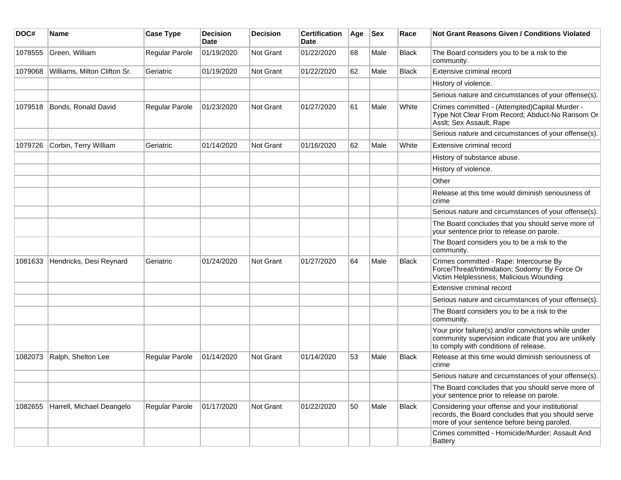| DOC#    | Name                         | <b>Case Type</b> | <b>Decision</b><br><b>Date</b> | <b>Decision</b> | <b>Certification</b><br><b>Date</b> | Age | <b>Sex</b> | Race         | Not Grant Reasons Given / Conditions Violated                                                                                                         |
|---------|------------------------------|------------------|--------------------------------|-----------------|-------------------------------------|-----|------------|--------------|-------------------------------------------------------------------------------------------------------------------------------------------------------|
| 1078555 | Green, William               | Regular Parole   | 01/19/2020                     | Not Grant       | 01/22/2020                          | 68  | Male       | <b>Black</b> | The Board considers you to be a risk to the<br>community.                                                                                             |
| 1079068 | Williams, Milton Clifton Sr. | Geriatric        | 01/19/2020                     | Not Grant       | 01/22/2020                          | 62  | Male       | Black        | Extensive criminal record                                                                                                                             |
|         |                              |                  |                                |                 |                                     |     |            |              | History of violence.                                                                                                                                  |
|         |                              |                  |                                |                 |                                     |     |            |              | Serious nature and circumstances of your offense(s).                                                                                                  |
| 1079518 | Bonds, Ronald David          | Regular Parole   | 01/23/2020                     | Not Grant       | 01/27/2020                          | 61  | Male       | White        | Crimes committed - (Attempted)Capital Murder -<br>Type Not Clear From Record; Abduct-No Ransom Or<br>Asslt; Sex Assault, Rape                         |
|         |                              |                  |                                |                 |                                     |     |            |              | Serious nature and circumstances of your offense(s).                                                                                                  |
| 1079726 | Corbin, Terry William        | Geriatric        | 01/14/2020                     | Not Grant       | 01/16/2020                          | 62  | Male       | White        | Extensive criminal record                                                                                                                             |
|         |                              |                  |                                |                 |                                     |     |            |              | History of substance abuse.                                                                                                                           |
|         |                              |                  |                                |                 |                                     |     |            |              | History of violence.                                                                                                                                  |
|         |                              |                  |                                |                 |                                     |     |            |              | Other                                                                                                                                                 |
|         |                              |                  |                                |                 |                                     |     |            |              | Release at this time would diminish seriousness of<br>crime                                                                                           |
|         |                              |                  |                                |                 |                                     |     |            |              | Serious nature and circumstances of your offense(s).                                                                                                  |
|         |                              |                  |                                |                 |                                     |     |            |              | The Board concludes that you should serve more of<br>your sentence prior to release on parole.                                                        |
|         |                              |                  |                                |                 |                                     |     |            |              | The Board considers you to be a risk to the<br>community.                                                                                             |
| 1081633 | Hendricks, Desi Reynard      | Geriatric        | 01/24/2020                     | Not Grant       | 01/27/2020                          | 64  | Male       | <b>Black</b> | Crimes committed - Rape: Intercourse By<br>Force/Threat/Intimidation; Sodomy: By Force Or<br>Victim Helplessness; Malicious Wounding                  |
|         |                              |                  |                                |                 |                                     |     |            |              | Extensive criminal record                                                                                                                             |
|         |                              |                  |                                |                 |                                     |     |            |              | Serious nature and circumstances of your offense(s).                                                                                                  |
|         |                              |                  |                                |                 |                                     |     |            |              | The Board considers you to be a risk to the<br>community.                                                                                             |
|         |                              |                  |                                |                 |                                     |     |            |              | Your prior failure(s) and/or convictions while under<br>community supervision indicate that you are unlikely<br>to comply with conditions of release. |
| 1082073 | Ralph, Shelton Lee           | Regular Parole   | 01/14/2020                     | Not Grant       | 01/14/2020                          | 53  | Male       | Black        | Release at this time would diminish seriousness of<br>crime                                                                                           |
|         |                              |                  |                                |                 |                                     |     |            |              | Serious nature and circumstances of your offense(s).                                                                                                  |
|         |                              |                  |                                |                 |                                     |     |            |              | The Board concludes that you should serve more of<br>your sentence prior to release on parole.                                                        |
| 1082655 | Harrell, Michael Deangelo    | Regular Parole   | 01/17/2020                     | Not Grant       | 01/22/2020                          | 50  | Male       | <b>Black</b> | Considering your offense and your institutional<br>records, the Board concludes that you should serve<br>more of your sentence before being paroled.  |
|         |                              |                  |                                |                 |                                     |     |            |              | Crimes committed - Homicide/Murder; Assault And<br><b>Battery</b>                                                                                     |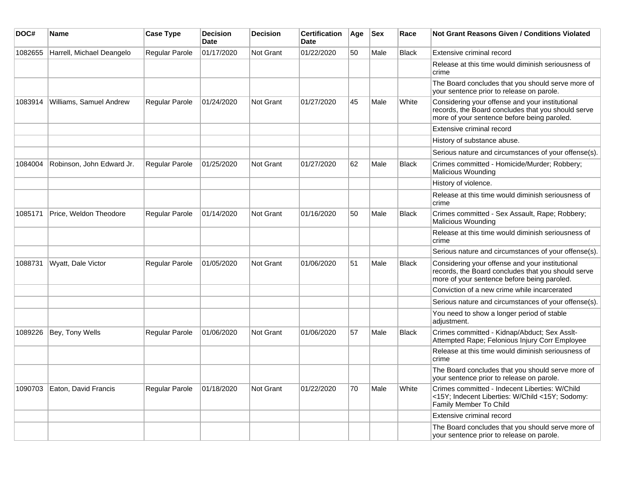| DOC#    | Name                      | <b>Case Type</b>      | <b>Decision</b><br>Date | <b>Decision</b> | <b>Certification</b><br>Date | Age | <b>Sex</b> | Race         | Not Grant Reasons Given / Conditions Violated                                                                                                        |
|---------|---------------------------|-----------------------|-------------------------|-----------------|------------------------------|-----|------------|--------------|------------------------------------------------------------------------------------------------------------------------------------------------------|
| 1082655 | Harrell, Michael Deangelo | <b>Regular Parole</b> | 01/17/2020              | Not Grant       | 01/22/2020                   | 50  | Male       | <b>Black</b> | Extensive criminal record                                                                                                                            |
|         |                           |                       |                         |                 |                              |     |            |              | Release at this time would diminish seriousness of<br>crime                                                                                          |
|         |                           |                       |                         |                 |                              |     |            |              | The Board concludes that you should serve more of<br>your sentence prior to release on parole.                                                       |
| 1083914 | Williams, Samuel Andrew   | <b>Regular Parole</b> | 01/24/2020              | Not Grant       | 01/27/2020                   | 45  | Male       | White        | Considering your offense and your institutional<br>records, the Board concludes that you should serve<br>more of your sentence before being paroled. |
|         |                           |                       |                         |                 |                              |     |            |              | Extensive criminal record                                                                                                                            |
|         |                           |                       |                         |                 |                              |     |            |              | History of substance abuse.                                                                                                                          |
|         |                           |                       |                         |                 |                              |     |            |              | Serious nature and circumstances of your offense(s).                                                                                                 |
| 1084004 | Robinson, John Edward Jr. | Regular Parole        | 01/25/2020              | Not Grant       | 01/27/2020                   | 62  | Male       | <b>Black</b> | Crimes committed - Homicide/Murder; Robbery;<br><b>Malicious Wounding</b>                                                                            |
|         |                           |                       |                         |                 |                              |     |            |              | History of violence.                                                                                                                                 |
|         |                           |                       |                         |                 |                              |     |            |              | Release at this time would diminish seriousness of<br>crime                                                                                          |
| 1085171 | Price, Weldon Theodore    | <b>Regular Parole</b> | 01/14/2020              | Not Grant       | 01/16/2020                   | 50  | Male       | <b>Black</b> | Crimes committed - Sex Assault, Rape; Robbery;<br><b>Malicious Wounding</b>                                                                          |
|         |                           |                       |                         |                 |                              |     |            |              | Release at this time would diminish seriousness of<br>crime                                                                                          |
|         |                           |                       |                         |                 |                              |     |            |              | Serious nature and circumstances of your offense(s).                                                                                                 |
| 1088731 | Wyatt, Dale Victor        | Regular Parole        | 01/05/2020              | Not Grant       | 01/06/2020                   | 51  | Male       | <b>Black</b> | Considering your offense and your institutional<br>records, the Board concludes that you should serve<br>more of your sentence before being paroled. |
|         |                           |                       |                         |                 |                              |     |            |              | Conviction of a new crime while incarcerated                                                                                                         |
|         |                           |                       |                         |                 |                              |     |            |              | Serious nature and circumstances of your offense(s).                                                                                                 |
|         |                           |                       |                         |                 |                              |     |            |              | You need to show a longer period of stable<br>adjustment.                                                                                            |
| 1089226 | Bey, Tony Wells           | Regular Parole        | 01/06/2020              | Not Grant       | 01/06/2020                   | 57  | Male       | <b>Black</b> | Crimes committed - Kidnap/Abduct; Sex Asslt-<br>Attempted Rape; Felonious Injury Corr Employee                                                       |
|         |                           |                       |                         |                 |                              |     |            |              | Release at this time would diminish seriousness of<br>crime                                                                                          |
|         |                           |                       |                         |                 |                              |     |            |              | The Board concludes that you should serve more of<br>your sentence prior to release on parole.                                                       |
| 1090703 | Eaton, David Francis      | <b>Regular Parole</b> | 01/18/2020              | Not Grant       | 01/22/2020                   | 70  | Male       | White        | Crimes committed - Indecent Liberties: W/Child<br><15Y; Indecent Liberties: W/Child <15Y; Sodomy:<br>Family Member To Child                          |
|         |                           |                       |                         |                 |                              |     |            |              | Extensive criminal record                                                                                                                            |
|         |                           |                       |                         |                 |                              |     |            |              | The Board concludes that you should serve more of<br>your sentence prior to release on parole.                                                       |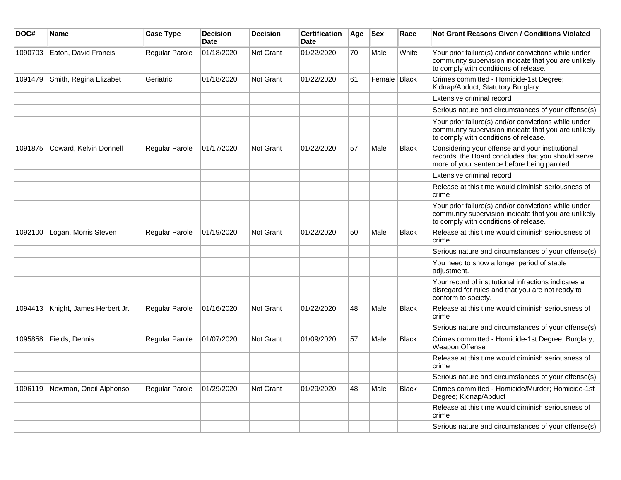| DOC#    | Name                      | <b>Case Type</b>      | <b>Decision</b><br><b>Date</b> | <b>Decision</b>  | <b>Certification</b><br><b>Date</b> | Age | $ $ Sex      | Race         | Not Grant Reasons Given / Conditions Violated                                                                                                         |
|---------|---------------------------|-----------------------|--------------------------------|------------------|-------------------------------------|-----|--------------|--------------|-------------------------------------------------------------------------------------------------------------------------------------------------------|
| 1090703 | Eaton, David Francis      | Regular Parole        | 01/18/2020                     | <b>Not Grant</b> | 01/22/2020                          | 70  | Male         | White        | Your prior failure(s) and/or convictions while under<br>community supervision indicate that you are unlikely<br>to comply with conditions of release. |
| 1091479 | Smith, Regina Elizabet    | Geriatric             | 01/18/2020                     | <b>Not Grant</b> | 01/22/2020                          | 61  | Female Black |              | Crimes committed - Homicide-1st Degree;<br>Kidnap/Abduct; Statutory Burglary                                                                          |
|         |                           |                       |                                |                  |                                     |     |              |              | Extensive criminal record                                                                                                                             |
|         |                           |                       |                                |                  |                                     |     |              |              | Serious nature and circumstances of your offense(s).                                                                                                  |
|         |                           |                       |                                |                  |                                     |     |              |              | Your prior failure(s) and/or convictions while under<br>community supervision indicate that you are unlikely<br>to comply with conditions of release. |
| 1091875 | Coward, Kelvin Donnell    | Regular Parole        | 01/17/2020                     | <b>Not Grant</b> | 01/22/2020                          | 57  | Male         | <b>Black</b> | Considering your offense and your institutional<br>records, the Board concludes that you should serve<br>more of your sentence before being paroled.  |
|         |                           |                       |                                |                  |                                     |     |              |              | Extensive criminal record                                                                                                                             |
|         |                           |                       |                                |                  |                                     |     |              |              | Release at this time would diminish seriousness of<br>crime                                                                                           |
|         |                           |                       |                                |                  |                                     |     |              |              | Your prior failure(s) and/or convictions while under<br>community supervision indicate that you are unlikely<br>to comply with conditions of release. |
| 1092100 | Logan, Morris Steven      | Regular Parole        | 01/19/2020                     | Not Grant        | 01/22/2020                          | 50  | Male         | <b>Black</b> | Release at this time would diminish seriousness of<br>crime                                                                                           |
|         |                           |                       |                                |                  |                                     |     |              |              | Serious nature and circumstances of your offense(s).                                                                                                  |
|         |                           |                       |                                |                  |                                     |     |              |              | You need to show a longer period of stable<br>adjustment.                                                                                             |
|         |                           |                       |                                |                  |                                     |     |              |              | Your record of institutional infractions indicates a<br>disregard for rules and that you are not ready to<br>conform to society.                      |
| 1094413 | Knight, James Herbert Jr. | Regular Parole        | 01/16/2020                     | <b>Not Grant</b> | 01/22/2020                          | 48  | Male         | Black        | Release at this time would diminish seriousness of<br>crime                                                                                           |
|         |                           |                       |                                |                  |                                     |     |              |              | Serious nature and circumstances of your offense(s).                                                                                                  |
| 1095858 | Fields, Dennis            | <b>Regular Parole</b> | 01/07/2020                     | Not Grant        | 01/09/2020                          | 57  | Male         | <b>Black</b> | Crimes committed - Homicide-1st Degree; Burglary;<br>Weapon Offense                                                                                   |
|         |                           |                       |                                |                  |                                     |     |              |              | Release at this time would diminish seriousness of<br>crime                                                                                           |
|         |                           |                       |                                |                  |                                     |     |              |              | Serious nature and circumstances of your offense(s).                                                                                                  |
| 1096119 | Newman, Oneil Alphonso    | <b>Regular Parole</b> | 01/29/2020                     | Not Grant        | 01/29/2020                          | 48  | Male         | <b>Black</b> | Crimes committed - Homicide/Murder; Homicide-1st<br>Degree; Kidnap/Abduct                                                                             |
|         |                           |                       |                                |                  |                                     |     |              |              | Release at this time would diminish seriousness of<br>crime                                                                                           |
|         |                           |                       |                                |                  |                                     |     |              |              | Serious nature and circumstances of your offense(s).                                                                                                  |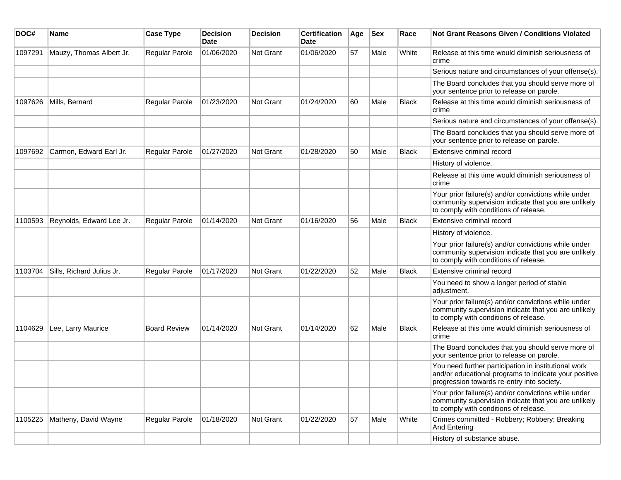| DOC#    | <b>Name</b>               | <b>Case Type</b>      | <b>Decision</b><br>Date | <b>Decision</b>  | <b>Certification</b><br>Date | Age | <b>Sex</b> | Race         | <b>Not Grant Reasons Given / Conditions Violated</b>                                                                                                        |
|---------|---------------------------|-----------------------|-------------------------|------------------|------------------------------|-----|------------|--------------|-------------------------------------------------------------------------------------------------------------------------------------------------------------|
| 1097291 | Mauzy, Thomas Albert Jr.  | Regular Parole        | 01/06/2020              | Not Grant        | 01/06/2020                   | 57  | Male       | White        | Release at this time would diminish seriousness of<br>crime                                                                                                 |
|         |                           |                       |                         |                  |                              |     |            |              | Serious nature and circumstances of your offense(s).                                                                                                        |
|         |                           |                       |                         |                  |                              |     |            |              | The Board concludes that you should serve more of<br>your sentence prior to release on parole.                                                              |
| 1097626 | Mills, Bernard            | Regular Parole        | 01/23/2020              | <b>Not Grant</b> | 01/24/2020                   | 60  | Male       | <b>Black</b> | Release at this time would diminish seriousness of<br>crime                                                                                                 |
|         |                           |                       |                         |                  |                              |     |            |              | Serious nature and circumstances of your offense(s).                                                                                                        |
|         |                           |                       |                         |                  |                              |     |            |              | The Board concludes that you should serve more of<br>your sentence prior to release on parole.                                                              |
| 1097692 | Carmon, Edward Earl Jr.   | <b>Regular Parole</b> | 01/27/2020              | <b>Not Grant</b> | 01/28/2020                   | 50  | Male       | <b>Black</b> | Extensive criminal record                                                                                                                                   |
|         |                           |                       |                         |                  |                              |     |            |              | History of violence.                                                                                                                                        |
|         |                           |                       |                         |                  |                              |     |            |              | Release at this time would diminish seriousness of<br>crime                                                                                                 |
|         |                           |                       |                         |                  |                              |     |            |              | Your prior failure(s) and/or convictions while under<br>community supervision indicate that you are unlikely<br>to comply with conditions of release.       |
| 1100593 | Reynolds, Edward Lee Jr.  | Regular Parole        | 01/14/2020              | Not Grant        | 01/16/2020                   | 56  | Male       | <b>Black</b> | Extensive criminal record                                                                                                                                   |
|         |                           |                       |                         |                  |                              |     |            |              | History of violence.                                                                                                                                        |
|         |                           |                       |                         |                  |                              |     |            |              | Your prior failure(s) and/or convictions while under<br>community supervision indicate that you are unlikely<br>to comply with conditions of release.       |
| 1103704 | Sills, Richard Julius Jr. | <b>Regular Parole</b> | 01/17/2020              | <b>Not Grant</b> | 01/22/2020                   | 52  | Male       | <b>Black</b> | Extensive criminal record                                                                                                                                   |
|         |                           |                       |                         |                  |                              |     |            |              | You need to show a longer period of stable<br>adjustment.                                                                                                   |
|         |                           |                       |                         |                  |                              |     |            |              | Your prior failure(s) and/or convictions while under<br>community supervision indicate that you are unlikely<br>to comply with conditions of release.       |
| 1104629 | Lee, Larry Maurice        | <b>Board Review</b>   | 01/14/2020              | <b>Not Grant</b> | 01/14/2020                   | 62  | Male       | Black        | Release at this time would diminish seriousness of<br>crime                                                                                                 |
|         |                           |                       |                         |                  |                              |     |            |              | The Board concludes that you should serve more of<br>your sentence prior to release on parole.                                                              |
|         |                           |                       |                         |                  |                              |     |            |              | You need further participation in institutional work<br>and/or educational programs to indicate your positive<br>progression towards re-entry into society. |
|         |                           |                       |                         |                  |                              |     |            |              | Your prior failure(s) and/or convictions while under<br>community supervision indicate that you are unlikely<br>to comply with conditions of release.       |
| 1105225 | Matheny, David Wayne      | Regular Parole        | 01/18/2020              | Not Grant        | 01/22/2020                   | 57  | Male       | White        | Crimes committed - Robbery; Robbery; Breaking<br>And Entering                                                                                               |
|         |                           |                       |                         |                  |                              |     |            |              | History of substance abuse.                                                                                                                                 |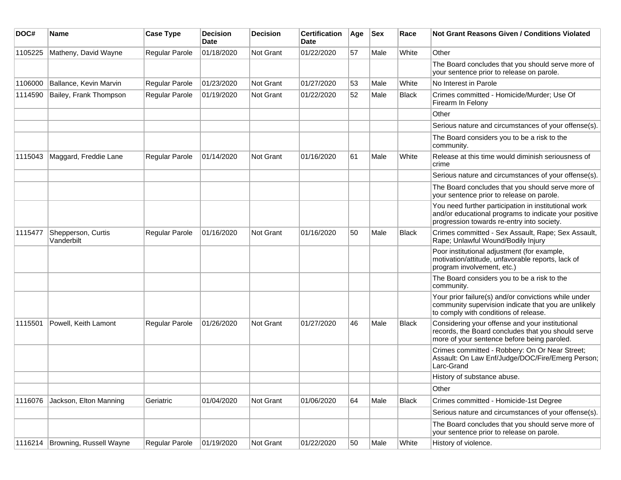| DOC#    | Name                             | <b>Case Type</b> | <b>Decision</b><br><b>Date</b> | <b>Decision</b> | <b>Certification</b><br><b>Date</b> | Age | <b>Sex</b> | Race         | <b>Not Grant Reasons Given / Conditions Violated</b>                                                                                                        |
|---------|----------------------------------|------------------|--------------------------------|-----------------|-------------------------------------|-----|------------|--------------|-------------------------------------------------------------------------------------------------------------------------------------------------------------|
| 1105225 | Matheny, David Wayne             | Regular Parole   | 01/18/2020                     | Not Grant       | 01/22/2020                          | 57  | Male       | White        | Other                                                                                                                                                       |
|         |                                  |                  |                                |                 |                                     |     |            |              | The Board concludes that you should serve more of<br>your sentence prior to release on parole.                                                              |
| 1106000 | Ballance, Kevin Marvin           | Regular Parole   | 01/23/2020                     | Not Grant       | 01/27/2020                          | 53  | Male       | White        | No Interest in Parole                                                                                                                                       |
| 1114590 | Bailey, Frank Thompson           | Regular Parole   | 01/19/2020                     | Not Grant       | 01/22/2020                          | 52  | Male       | <b>Black</b> | Crimes committed - Homicide/Murder; Use Of<br>Firearm In Felony                                                                                             |
|         |                                  |                  |                                |                 |                                     |     |            |              | Other                                                                                                                                                       |
|         |                                  |                  |                                |                 |                                     |     |            |              | Serious nature and circumstances of your offense(s).                                                                                                        |
|         |                                  |                  |                                |                 |                                     |     |            |              | The Board considers you to be a risk to the<br>community.                                                                                                   |
| 1115043 | Maggard, Freddie Lane            | Regular Parole   | 01/14/2020                     | Not Grant       | 01/16/2020                          | 61  | Male       | White        | Release at this time would diminish seriousness of<br>crime                                                                                                 |
|         |                                  |                  |                                |                 |                                     |     |            |              | Serious nature and circumstances of your offense(s).                                                                                                        |
|         |                                  |                  |                                |                 |                                     |     |            |              | The Board concludes that you should serve more of<br>your sentence prior to release on parole.                                                              |
|         |                                  |                  |                                |                 |                                     |     |            |              | You need further participation in institutional work<br>and/or educational programs to indicate your positive<br>progression towards re-entry into society. |
| 1115477 | Shepperson, Curtis<br>Vanderbilt | Regular Parole   | 01/16/2020                     | Not Grant       | 01/16/2020                          | 50  | Male       | <b>Black</b> | Crimes committed - Sex Assault, Rape; Sex Assault,<br>Rape; Unlawful Wound/Bodily Injury                                                                    |
|         |                                  |                  |                                |                 |                                     |     |            |              | Poor institutional adjustment (for example,<br>motivation/attitude, unfavorable reports, lack of<br>program involvement, etc.)                              |
|         |                                  |                  |                                |                 |                                     |     |            |              | The Board considers you to be a risk to the<br>community.                                                                                                   |
|         |                                  |                  |                                |                 |                                     |     |            |              | Your prior failure(s) and/or convictions while under<br>community supervision indicate that you are unlikely<br>to comply with conditions of release.       |
| 1115501 | Powell, Keith Lamont             | Regular Parole   | 01/26/2020                     | Not Grant       | 01/27/2020                          | 46  | Male       | <b>Black</b> | Considering your offense and your institutional<br>records, the Board concludes that you should serve<br>more of your sentence before being paroled.        |
|         |                                  |                  |                                |                 |                                     |     |            |              | Crimes committed - Robbery: On Or Near Street;<br>Assault: On Law Enf/Judge/DOC/Fire/Emerg Person;<br>Larc-Grand                                            |
|         |                                  |                  |                                |                 |                                     |     |            |              | History of substance abuse.                                                                                                                                 |
|         |                                  |                  |                                |                 |                                     |     |            |              | Other                                                                                                                                                       |
| 1116076 | Jackson, Elton Manning           | Geriatric        | 01/04/2020                     | Not Grant       | 01/06/2020                          | 64  | Male       | Black        | Crimes committed - Homicide-1st Degree                                                                                                                      |
|         |                                  |                  |                                |                 |                                     |     |            |              | Serious nature and circumstances of your offense(s).                                                                                                        |
|         |                                  |                  |                                |                 |                                     |     |            |              | The Board concludes that you should serve more of<br>your sentence prior to release on parole.                                                              |
|         | 1116214 Browning, Russell Wayne  | Regular Parole   | 01/19/2020                     | Not Grant       | 01/22/2020                          | 50  | Male       | White        | History of violence.                                                                                                                                        |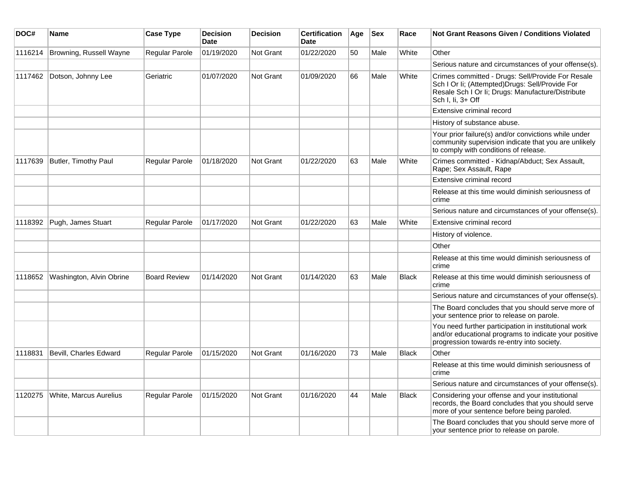| DOC#    | <b>Name</b>              | <b>Case Type</b>    | <b>Decision</b><br><b>Date</b> | <b>Decision</b>  | <b>Certification</b><br><b>Date</b> | Age | <b>Sex</b> | Race         | <b>Not Grant Reasons Given / Conditions Violated</b>                                                                                                                            |
|---------|--------------------------|---------------------|--------------------------------|------------------|-------------------------------------|-----|------------|--------------|---------------------------------------------------------------------------------------------------------------------------------------------------------------------------------|
| 1116214 | Browning, Russell Wayne  | Regular Parole      | 01/19/2020                     | Not Grant        | 01/22/2020                          | 50  | Male       | White        | Other                                                                                                                                                                           |
|         |                          |                     |                                |                  |                                     |     |            |              | Serious nature and circumstances of your offense(s).                                                                                                                            |
| 1117462 | Dotson, Johnny Lee       | Geriatric           | 01/07/2020                     | Not Grant        | 01/09/2020                          | 66  | Male       | White        | Crimes committed - Drugs: Sell/Provide For Resale<br>Sch I Or Ii; (Attempted) Drugs: Sell/Provide For<br>Resale Sch I Or Ii; Drugs: Manufacture/Distribute<br>Sch I, Ii, 3+ Off |
|         |                          |                     |                                |                  |                                     |     |            |              | Extensive criminal record                                                                                                                                                       |
|         |                          |                     |                                |                  |                                     |     |            |              | History of substance abuse.                                                                                                                                                     |
|         |                          |                     |                                |                  |                                     |     |            |              | Your prior failure(s) and/or convictions while under<br>community supervision indicate that you are unlikely<br>to comply with conditions of release.                           |
| 1117639 | Butler, Timothy Paul     | Regular Parole      | 01/18/2020                     | Not Grant        | 01/22/2020                          | 63  | Male       | White        | Crimes committed - Kidnap/Abduct; Sex Assault,<br>Rape; Sex Assault, Rape                                                                                                       |
|         |                          |                     |                                |                  |                                     |     |            |              | Extensive criminal record                                                                                                                                                       |
|         |                          |                     |                                |                  |                                     |     |            |              | Release at this time would diminish seriousness of<br>crime                                                                                                                     |
|         |                          |                     |                                |                  |                                     |     |            |              | Serious nature and circumstances of your offense(s).                                                                                                                            |
| 1118392 | Pugh, James Stuart       | Regular Parole      | 01/17/2020                     | <b>Not Grant</b> | 01/22/2020                          | 63  | Male       | White        | Extensive criminal record                                                                                                                                                       |
|         |                          |                     |                                |                  |                                     |     |            |              | History of violence.                                                                                                                                                            |
|         |                          |                     |                                |                  |                                     |     |            |              | Other                                                                                                                                                                           |
|         |                          |                     |                                |                  |                                     |     |            |              | Release at this time would diminish seriousness of<br>crime                                                                                                                     |
| 1118652 | Washington, Alvin Obrine | <b>Board Review</b> | 01/14/2020                     | Not Grant        | 01/14/2020                          | 63  | Male       | Black        | Release at this time would diminish seriousness of<br>crime                                                                                                                     |
|         |                          |                     |                                |                  |                                     |     |            |              | Serious nature and circumstances of your offense(s).                                                                                                                            |
|         |                          |                     |                                |                  |                                     |     |            |              | The Board concludes that you should serve more of<br>your sentence prior to release on parole.                                                                                  |
|         |                          |                     |                                |                  |                                     |     |            |              | You need further participation in institutional work<br>and/or educational programs to indicate your positive<br>progression towards re-entry into society.                     |
| 1118831 | Bevill, Charles Edward   | Regular Parole      | 01/15/2020                     | Not Grant        | 01/16/2020                          | 73  | Male       | <b>Black</b> | Other                                                                                                                                                                           |
|         |                          |                     |                                |                  |                                     |     |            |              | Release at this time would diminish seriousness of<br>crime                                                                                                                     |
|         |                          |                     |                                |                  |                                     |     |            |              | Serious nature and circumstances of your offense(s).                                                                                                                            |
| 1120275 | White, Marcus Aurelius   | Regular Parole      | 01/15/2020                     | Not Grant        | 01/16/2020                          | 44  | Male       | <b>Black</b> | Considering your offense and your institutional<br>records, the Board concludes that you should serve<br>more of your sentence before being paroled.                            |
|         |                          |                     |                                |                  |                                     |     |            |              | The Board concludes that you should serve more of<br>your sentence prior to release on parole.                                                                                  |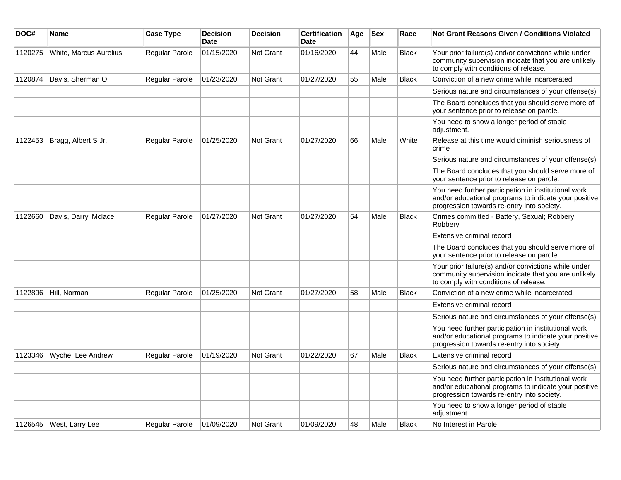| DOC#    | <b>Name</b>            | <b>Case Type</b> | <b>Decision</b><br><b>Date</b> | <b>Decision</b>  | <b>Certification</b><br>Date | Age | <b>Sex</b> | Race         | Not Grant Reasons Given / Conditions Violated                                                                                                               |
|---------|------------------------|------------------|--------------------------------|------------------|------------------------------|-----|------------|--------------|-------------------------------------------------------------------------------------------------------------------------------------------------------------|
| 1120275 | White, Marcus Aurelius | Regular Parole   | 01/15/2020                     | <b>Not Grant</b> | 01/16/2020                   | 44  | Male       | <b>Black</b> | Your prior failure(s) and/or convictions while under<br>community supervision indicate that you are unlikely<br>to comply with conditions of release.       |
| 1120874 | Davis, Sherman O       | Regular Parole   | 01/23/2020                     | <b>Not Grant</b> | 01/27/2020                   | 55  | Male       | <b>Black</b> | Conviction of a new crime while incarcerated                                                                                                                |
|         |                        |                  |                                |                  |                              |     |            |              | Serious nature and circumstances of your offense(s).                                                                                                        |
|         |                        |                  |                                |                  |                              |     |            |              | The Board concludes that you should serve more of<br>your sentence prior to release on parole.                                                              |
|         |                        |                  |                                |                  |                              |     |            |              | You need to show a longer period of stable<br>adjustment.                                                                                                   |
| 1122453 | Bragg, Albert S Jr.    | Regular Parole   | 01/25/2020                     | Not Grant        | 01/27/2020                   | 66  | Male       | White        | Release at this time would diminish seriousness of<br>crime                                                                                                 |
|         |                        |                  |                                |                  |                              |     |            |              | Serious nature and circumstances of your offense(s).                                                                                                        |
|         |                        |                  |                                |                  |                              |     |            |              | The Board concludes that you should serve more of<br>your sentence prior to release on parole.                                                              |
|         |                        |                  |                                |                  |                              |     |            |              | You need further participation in institutional work<br>and/or educational programs to indicate your positive<br>progression towards re-entry into society. |
| 1122660 | Davis, Darryl Mclace   | Regular Parole   | 01/27/2020                     | <b>Not Grant</b> | 01/27/2020                   | 54  | Male       | <b>Black</b> | Crimes committed - Battery, Sexual; Robbery;<br>Robbery                                                                                                     |
|         |                        |                  |                                |                  |                              |     |            |              | Extensive criminal record                                                                                                                                   |
|         |                        |                  |                                |                  |                              |     |            |              | The Board concludes that you should serve more of<br>your sentence prior to release on parole.                                                              |
|         |                        |                  |                                |                  |                              |     |            |              | Your prior failure(s) and/or convictions while under<br>community supervision indicate that you are unlikely<br>to comply with conditions of release.       |
| 1122896 | Hill, Norman           | Regular Parole   | 01/25/2020                     | <b>Not Grant</b> | 01/27/2020                   | 58  | Male       | <b>Black</b> | Conviction of a new crime while incarcerated                                                                                                                |
|         |                        |                  |                                |                  |                              |     |            |              | Extensive criminal record                                                                                                                                   |
|         |                        |                  |                                |                  |                              |     |            |              | Serious nature and circumstances of your offense(s).                                                                                                        |
|         |                        |                  |                                |                  |                              |     |            |              | You need further participation in institutional work<br>and/or educational programs to indicate your positive<br>progression towards re-entry into society. |
| 1123346 | Wyche, Lee Andrew      | Regular Parole   | 01/19/2020                     | Not Grant        | 01/22/2020                   | 67  | Male       | <b>Black</b> | Extensive criminal record                                                                                                                                   |
|         |                        |                  |                                |                  |                              |     |            |              | Serious nature and circumstances of your offense(s).                                                                                                        |
|         |                        |                  |                                |                  |                              |     |            |              | You need further participation in institutional work<br>and/or educational programs to indicate your positive<br>progression towards re-entry into society. |
|         |                        |                  |                                |                  |                              |     |            |              | You need to show a longer period of stable<br>adjustment.                                                                                                   |
| 1126545 | West, Larry Lee        | Regular Parole   | 01/09/2020                     | <b>Not Grant</b> | 01/09/2020                   | 48  | Male       | <b>Black</b> | No Interest in Parole                                                                                                                                       |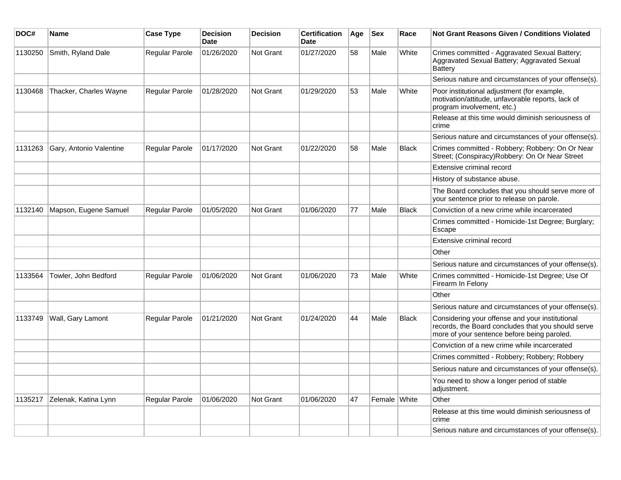| DOC#    | Name                    | <b>Case Type</b>      | <b>Decision</b><br><b>Date</b> | <b>Decision</b>  | <b>Certification</b><br><b>Date</b> | Age | $ $ Sex      | Race         | <b>Not Grant Reasons Given / Conditions Violated</b>                                                                                                 |
|---------|-------------------------|-----------------------|--------------------------------|------------------|-------------------------------------|-----|--------------|--------------|------------------------------------------------------------------------------------------------------------------------------------------------------|
| 1130250 | Smith, Ryland Dale      | <b>Regular Parole</b> | 01/26/2020                     | <b>Not Grant</b> | 01/27/2020                          | 58  | Male         | White        | Crimes committed - Aggravated Sexual Battery;<br>Aggravated Sexual Battery; Aggravated Sexual<br>Battery                                             |
|         |                         |                       |                                |                  |                                     |     |              |              | Serious nature and circumstances of your offense(s).                                                                                                 |
| 1130468 | Thacker, Charles Wayne  | <b>Regular Parole</b> | 01/28/2020                     | <b>Not Grant</b> | 01/29/2020                          | 53  | Male         | White        | Poor institutional adjustment (for example,<br>motivation/attitude, unfavorable reports, lack of<br>program involvement, etc.)                       |
|         |                         |                       |                                |                  |                                     |     |              |              | Release at this time would diminish seriousness of<br>crime                                                                                          |
|         |                         |                       |                                |                  |                                     |     |              |              | Serious nature and circumstances of your offense(s).                                                                                                 |
| 1131263 | Gary, Antonio Valentine | Regular Parole        | 01/17/2020                     | <b>Not Grant</b> | 01/22/2020                          | 58  | Male         | Black        | Crimes committed - Robbery; Robbery: On Or Near<br>Street; (Conspiracy) Robbery: On Or Near Street                                                   |
|         |                         |                       |                                |                  |                                     |     |              |              | Extensive criminal record                                                                                                                            |
|         |                         |                       |                                |                  |                                     |     |              |              | History of substance abuse.                                                                                                                          |
|         |                         |                       |                                |                  |                                     |     |              |              | The Board concludes that you should serve more of<br>your sentence prior to release on parole.                                                       |
| 1132140 | Mapson, Eugene Samuel   | <b>Regular Parole</b> | 01/05/2020                     | <b>Not Grant</b> | 01/06/2020                          | 77  | Male         | <b>Black</b> | Conviction of a new crime while incarcerated                                                                                                         |
|         |                         |                       |                                |                  |                                     |     |              |              | Crimes committed - Homicide-1st Degree; Burglary;<br>Escape                                                                                          |
|         |                         |                       |                                |                  |                                     |     |              |              | Extensive criminal record                                                                                                                            |
|         |                         |                       |                                |                  |                                     |     |              |              | Other                                                                                                                                                |
|         |                         |                       |                                |                  |                                     |     |              |              | Serious nature and circumstances of your offense(s).                                                                                                 |
| 1133564 | Towler, John Bedford    | <b>Regular Parole</b> | 01/06/2020                     | <b>Not Grant</b> | 01/06/2020                          | 73  | Male         | White        | Crimes committed - Homicide-1st Degree; Use Of<br>Firearm In Felony                                                                                  |
|         |                         |                       |                                |                  |                                     |     |              |              | Other                                                                                                                                                |
|         |                         |                       |                                |                  |                                     |     |              |              | Serious nature and circumstances of your offense(s).                                                                                                 |
| 1133749 | Wall, Gary Lamont       | Regular Parole        | 01/21/2020                     | <b>Not Grant</b> | 01/24/2020                          | 44  | Male         | <b>Black</b> | Considering your offense and your institutional<br>records, the Board concludes that you should serve<br>more of your sentence before being paroled. |
|         |                         |                       |                                |                  |                                     |     |              |              | Conviction of a new crime while incarcerated                                                                                                         |
|         |                         |                       |                                |                  |                                     |     |              |              | Crimes committed - Robbery; Robbery; Robbery                                                                                                         |
|         |                         |                       |                                |                  |                                     |     |              |              | Serious nature and circumstances of your offense(s).                                                                                                 |
|         |                         |                       |                                |                  |                                     |     |              |              | You need to show a longer period of stable<br>adjustment.                                                                                            |
| 1135217 | Zelenak, Katina Lynn    | Regular Parole        | 01/06/2020                     | Not Grant        | 01/06/2020                          | 47  | Female White |              | Other                                                                                                                                                |
|         |                         |                       |                                |                  |                                     |     |              |              | Release at this time would diminish seriousness of<br>crime                                                                                          |
|         |                         |                       |                                |                  |                                     |     |              |              | Serious nature and circumstances of your offense(s).                                                                                                 |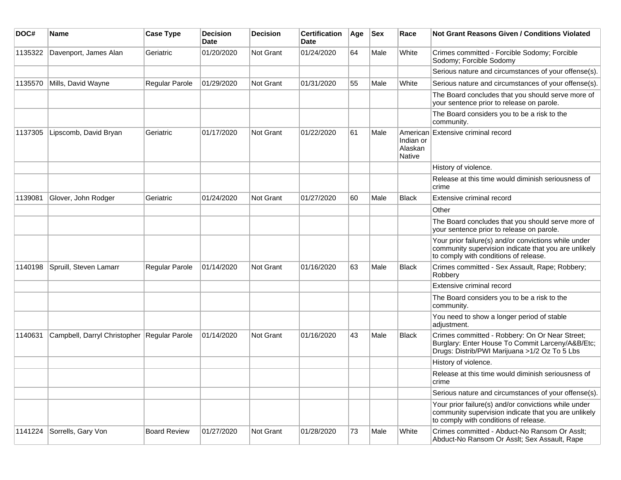| DOC#    | Name                                          | <b>Case Type</b>    | <b>Decision</b><br>Date | <b>Decision</b> | <b>Certification</b><br>Date | Age | <b>Sex</b> | Race                           | Not Grant Reasons Given / Conditions Violated                                                                                                         |
|---------|-----------------------------------------------|---------------------|-------------------------|-----------------|------------------------------|-----|------------|--------------------------------|-------------------------------------------------------------------------------------------------------------------------------------------------------|
| 1135322 | Davenport, James Alan                         | Geriatric           | 01/20/2020              | Not Grant       | 01/24/2020                   | 64  | Male       | White                          | Crimes committed - Forcible Sodomy; Forcible<br>Sodomy; Forcible Sodomy                                                                               |
|         |                                               |                     |                         |                 |                              |     |            |                                | Serious nature and circumstances of your offense(s).                                                                                                  |
| 1135570 | Mills, David Wayne                            | Regular Parole      | 01/29/2020              | Not Grant       | 01/31/2020                   | 55  | Male       | White                          | Serious nature and circumstances of your offense(s).                                                                                                  |
|         |                                               |                     |                         |                 |                              |     |            |                                | The Board concludes that you should serve more of<br>your sentence prior to release on parole.                                                        |
|         |                                               |                     |                         |                 |                              |     |            |                                | The Board considers you to be a risk to the<br>community.                                                                                             |
| 1137305 | Lipscomb, David Bryan                         | Geriatric           | 01/17/2020              | Not Grant       | 01/22/2020                   | 61  | Male       | Indian or<br>Alaskan<br>Native | American Extensive criminal record                                                                                                                    |
|         |                                               |                     |                         |                 |                              |     |            |                                | History of violence.                                                                                                                                  |
|         |                                               |                     |                         |                 |                              |     |            |                                | Release at this time would diminish seriousness of<br>crime                                                                                           |
| 1139081 | Glover, John Rodger                           | Geriatric           | 01/24/2020              | Not Grant       | 01/27/2020                   | 60  | Male       | <b>Black</b>                   | Extensive criminal record                                                                                                                             |
|         |                                               |                     |                         |                 |                              |     |            |                                | Other                                                                                                                                                 |
|         |                                               |                     |                         |                 |                              |     |            |                                | The Board concludes that you should serve more of<br>your sentence prior to release on parole.                                                        |
|         |                                               |                     |                         |                 |                              |     |            |                                | Your prior failure(s) and/or convictions while under<br>community supervision indicate that you are unlikely<br>to comply with conditions of release. |
| 1140198 | Spruill, Steven Lamarr                        | Regular Parole      | 01/14/2020              | Not Grant       | 01/16/2020                   | 63  | Male       | <b>Black</b>                   | Crimes committed - Sex Assault, Rape; Robbery;<br>Robbery                                                                                             |
|         |                                               |                     |                         |                 |                              |     |            |                                | Extensive criminal record                                                                                                                             |
|         |                                               |                     |                         |                 |                              |     |            |                                | The Board considers you to be a risk to the<br>community.                                                                                             |
|         |                                               |                     |                         |                 |                              |     |            |                                | You need to show a longer period of stable<br>adjustment.                                                                                             |
| 1140631 | Campbell, Darryl Christopher   Regular Parole |                     | 01/14/2020              | Not Grant       | 01/16/2020                   | 43  | Male       | <b>Black</b>                   | Crimes committed - Robbery: On Or Near Street;<br>Burglary: Enter House To Commit Larceny/A&B/Etc;<br>Drugs: Distrib/PWI Marijuana >1/2 Oz To 5 Lbs   |
|         |                                               |                     |                         |                 |                              |     |            |                                | History of violence.                                                                                                                                  |
|         |                                               |                     |                         |                 |                              |     |            |                                | Release at this time would diminish seriousness of<br>crime                                                                                           |
|         |                                               |                     |                         |                 |                              |     |            |                                | Serious nature and circumstances of your offense(s).                                                                                                  |
|         |                                               |                     |                         |                 |                              |     |            |                                | Your prior failure(s) and/or convictions while under<br>community supervision indicate that you are unlikely<br>to comply with conditions of release. |
| 1141224 | Sorrells, Gary Von                            | <b>Board Review</b> | 01/27/2020              | Not Grant       | 01/28/2020                   | 73  | Male       | White                          | Crimes committed - Abduct-No Ransom Or Asslt;<br>Abduct-No Ransom Or Asslt; Sex Assault, Rape                                                         |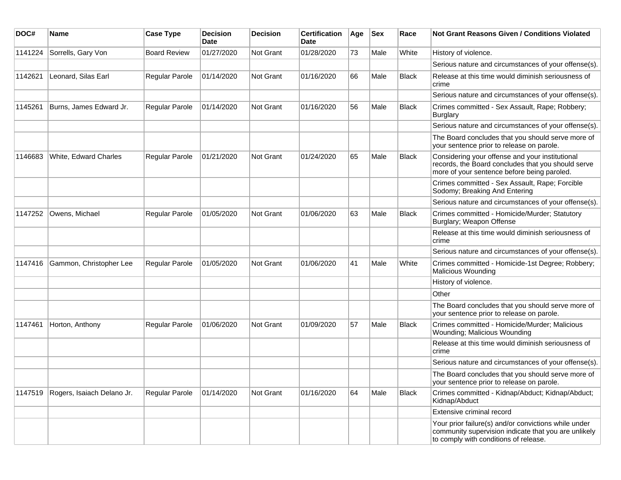| DOC#    | <b>Name</b>                | <b>Case Type</b>    | <b>Decision</b><br><b>Date</b> | <b>Decision</b> | <b>Certification</b><br>Date | Age | <b>Sex</b> | Race         | <b>Not Grant Reasons Given / Conditions Violated</b>                                                                                                  |
|---------|----------------------------|---------------------|--------------------------------|-----------------|------------------------------|-----|------------|--------------|-------------------------------------------------------------------------------------------------------------------------------------------------------|
| 1141224 | Sorrells, Gary Von         | <b>Board Review</b> | 01/27/2020                     | Not Grant       | 01/28/2020                   | 73  | Male       | White        | History of violence.                                                                                                                                  |
|         |                            |                     |                                |                 |                              |     |            |              | Serious nature and circumstances of your offense(s).                                                                                                  |
| 1142621 | Leonard, Silas Earl        | Regular Parole      | 01/14/2020                     | Not Grant       | 01/16/2020                   | 66  | Male       | <b>Black</b> | Release at this time would diminish seriousness of<br>crime                                                                                           |
|         |                            |                     |                                |                 |                              |     |            |              | Serious nature and circumstances of your offense(s).                                                                                                  |
| 1145261 | Burns, James Edward Jr.    | Regular Parole      | 01/14/2020                     | Not Grant       | 01/16/2020                   | 56  | Male       | <b>Black</b> | Crimes committed - Sex Assault, Rape; Robbery;<br><b>Burglary</b>                                                                                     |
|         |                            |                     |                                |                 |                              |     |            |              | Serious nature and circumstances of your offense(s).                                                                                                  |
|         |                            |                     |                                |                 |                              |     |            |              | The Board concludes that you should serve more of<br>your sentence prior to release on parole.                                                        |
| 1146683 | White, Edward Charles      | Regular Parole      | 01/21/2020                     | Not Grant       | 01/24/2020                   | 65  | Male       | <b>Black</b> | Considering your offense and your institutional<br>records, the Board concludes that you should serve<br>more of your sentence before being paroled.  |
|         |                            |                     |                                |                 |                              |     |            |              | Crimes committed - Sex Assault, Rape; Forcible<br>Sodomy; Breaking And Entering                                                                       |
|         |                            |                     |                                |                 |                              |     |            |              | Serious nature and circumstances of your offense(s).                                                                                                  |
| 1147252 | Owens, Michael             | Regular Parole      | 01/05/2020                     | Not Grant       | 01/06/2020                   | 63  | Male       | <b>Black</b> | Crimes committed - Homicide/Murder; Statutory<br>Burglary; Weapon Offense                                                                             |
|         |                            |                     |                                |                 |                              |     |            |              | Release at this time would diminish seriousness of<br>crime                                                                                           |
|         |                            |                     |                                |                 |                              |     |            |              | Serious nature and circumstances of your offense(s).                                                                                                  |
| 1147416 | Gammon, Christopher Lee    | Regular Parole      | 01/05/2020                     | Not Grant       | 01/06/2020                   | 41  | Male       | White        | Crimes committed - Homicide-1st Degree; Robbery;<br><b>Malicious Wounding</b>                                                                         |
|         |                            |                     |                                |                 |                              |     |            |              | History of violence.                                                                                                                                  |
|         |                            |                     |                                |                 |                              |     |            |              | Other                                                                                                                                                 |
|         |                            |                     |                                |                 |                              |     |            |              | The Board concludes that you should serve more of<br>your sentence prior to release on parole.                                                        |
| 1147461 | Horton, Anthony            | Regular Parole      | 01/06/2020                     | Not Grant       | 01/09/2020                   | 57  | Male       | <b>Black</b> | Crimes committed - Homicide/Murder; Malicious<br>Wounding; Malicious Wounding                                                                         |
|         |                            |                     |                                |                 |                              |     |            |              | Release at this time would diminish seriousness of<br>crime                                                                                           |
|         |                            |                     |                                |                 |                              |     |            |              | Serious nature and circumstances of your offense(s).                                                                                                  |
|         |                            |                     |                                |                 |                              |     |            |              | The Board concludes that you should serve more of<br>your sentence prior to release on parole.                                                        |
| 1147519 | Rogers, Isaiach Delano Jr. | Regular Parole      | 01/14/2020                     | Not Grant       | 01/16/2020                   | 64  | Male       | <b>Black</b> | Crimes committed - Kidnap/Abduct; Kidnap/Abduct;<br>Kidnap/Abduct                                                                                     |
|         |                            |                     |                                |                 |                              |     |            |              | Extensive criminal record                                                                                                                             |
|         |                            |                     |                                |                 |                              |     |            |              | Your prior failure(s) and/or convictions while under<br>community supervision indicate that you are unlikely<br>to comply with conditions of release. |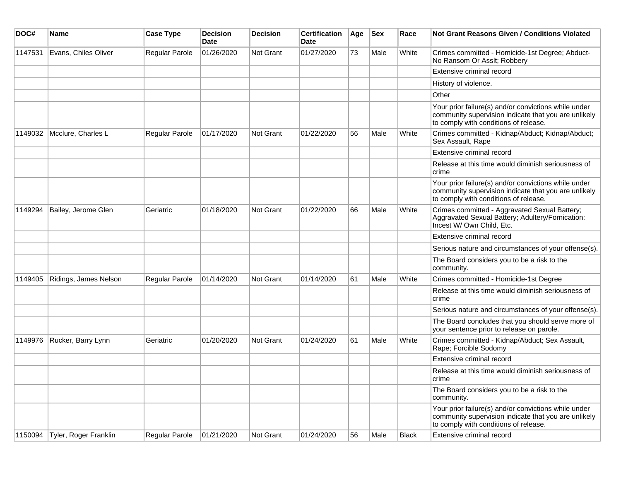| DOC#    | <b>Name</b>                   | <b>Case Type</b> | <b>Decision</b><br><b>Date</b> | <b>Decision</b> | <b>Certification</b><br>Date | Age | <b>Sex</b> | Race         | <b>Not Grant Reasons Given / Conditions Violated</b>                                                                                                  |
|---------|-------------------------------|------------------|--------------------------------|-----------------|------------------------------|-----|------------|--------------|-------------------------------------------------------------------------------------------------------------------------------------------------------|
| 1147531 | Evans, Chiles Oliver          | Regular Parole   | 01/26/2020                     | Not Grant       | 01/27/2020                   | 73  | Male       | White        | Crimes committed - Homicide-1st Degree; Abduct-<br>No Ransom Or Asslt; Robbery                                                                        |
|         |                               |                  |                                |                 |                              |     |            |              | Extensive criminal record                                                                                                                             |
|         |                               |                  |                                |                 |                              |     |            |              | History of violence.                                                                                                                                  |
|         |                               |                  |                                |                 |                              |     |            |              | Other                                                                                                                                                 |
|         |                               |                  |                                |                 |                              |     |            |              | Your prior failure(s) and/or convictions while under<br>community supervision indicate that you are unlikely<br>to comply with conditions of release. |
| 1149032 | Mcclure, Charles L            | Regular Parole   | 01/17/2020                     | Not Grant       | 01/22/2020                   | 56  | Male       | White        | Crimes committed - Kidnap/Abduct; Kidnap/Abduct;<br>Sex Assault, Rape                                                                                 |
|         |                               |                  |                                |                 |                              |     |            |              | Extensive criminal record                                                                                                                             |
|         |                               |                  |                                |                 |                              |     |            |              | Release at this time would diminish seriousness of<br>crime                                                                                           |
|         |                               |                  |                                |                 |                              |     |            |              | Your prior failure(s) and/or convictions while under<br>community supervision indicate that you are unlikely<br>to comply with conditions of release. |
| 1149294 | Bailey, Jerome Glen           | Geriatric        | 01/18/2020                     | Not Grant       | 01/22/2020                   | 66  | Male       | White        | Crimes committed - Aggravated Sexual Battery;<br>Aggravated Sexual Battery; Adultery/Fornication:<br>Incest W/ Own Child, Etc.                        |
|         |                               |                  |                                |                 |                              |     |            |              | Extensive criminal record                                                                                                                             |
|         |                               |                  |                                |                 |                              |     |            |              | Serious nature and circumstances of your offense(s).                                                                                                  |
|         |                               |                  |                                |                 |                              |     |            |              | The Board considers you to be a risk to the<br>community.                                                                                             |
| 1149405 | Ridings, James Nelson         | Regular Parole   | 01/14/2020                     | Not Grant       | 01/14/2020                   | 61  | Male       | White        | Crimes committed - Homicide-1st Degree                                                                                                                |
|         |                               |                  |                                |                 |                              |     |            |              | Release at this time would diminish seriousness of<br>crime                                                                                           |
|         |                               |                  |                                |                 |                              |     |            |              | Serious nature and circumstances of your offense(s).                                                                                                  |
|         |                               |                  |                                |                 |                              |     |            |              | The Board concludes that you should serve more of<br>your sentence prior to release on parole.                                                        |
| 1149976 | Rucker, Barry Lynn            | Geriatric        | 01/20/2020                     | Not Grant       | 01/24/2020                   | 61  | Male       | White        | Crimes committed - Kidnap/Abduct; Sex Assault,<br>Rape; Forcible Sodomy                                                                               |
|         |                               |                  |                                |                 |                              |     |            |              | Extensive criminal record                                                                                                                             |
|         |                               |                  |                                |                 |                              |     |            |              | Release at this time would diminish seriousness of<br>crime                                                                                           |
|         |                               |                  |                                |                 |                              |     |            |              | The Board considers you to be a risk to the<br>community.                                                                                             |
|         |                               |                  |                                |                 |                              |     |            |              | Your prior failure(s) and/or convictions while under<br>community supervision indicate that you are unlikely<br>to comply with conditions of release. |
|         | 1150094 Tyler, Roger Franklin | Regular Parole   | 01/21/2020                     | Not Grant       | 01/24/2020                   | 56  | Male       | <b>Black</b> | Extensive criminal record                                                                                                                             |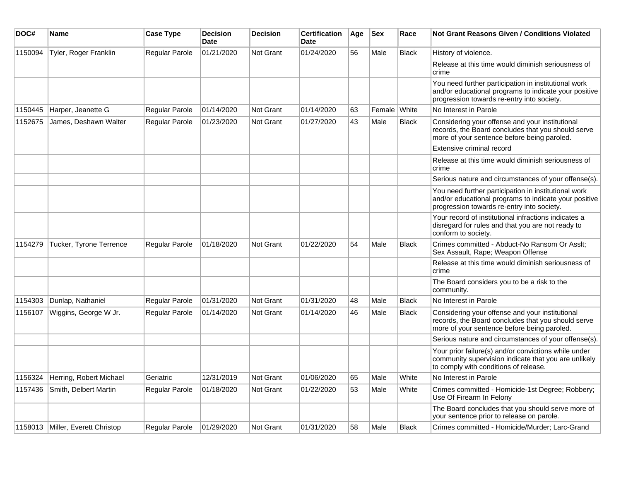| DOC#    | <b>Name</b>                      | <b>Case Type</b> | <b>Decision</b><br><b>Date</b> | <b>Decision</b>  | <b>Certification</b><br><b>Date</b> | Age | <b>Sex</b>   | Race         | Not Grant Reasons Given / Conditions Violated                                                                                                               |
|---------|----------------------------------|------------------|--------------------------------|------------------|-------------------------------------|-----|--------------|--------------|-------------------------------------------------------------------------------------------------------------------------------------------------------------|
| 1150094 | Tyler, Roger Franklin            | Regular Parole   | 01/21/2020                     | <b>Not Grant</b> | 01/24/2020                          | 56  | Male         | <b>Black</b> | History of violence.                                                                                                                                        |
|         |                                  |                  |                                |                  |                                     |     |              |              | Release at this time would diminish seriousness of<br>crime                                                                                                 |
|         |                                  |                  |                                |                  |                                     |     |              |              | You need further participation in institutional work<br>and/or educational programs to indicate your positive<br>progression towards re-entry into society. |
| 1150445 | Harper, Jeanette G               | Regular Parole   | 01/14/2020                     | Not Grant        | 01/14/2020                          | 63  | Female White |              | No Interest in Parole                                                                                                                                       |
| 1152675 | James, Deshawn Walter            | Regular Parole   | 01/23/2020                     | <b>Not Grant</b> | 01/27/2020                          | 43  | Male         | Black        | Considering your offense and your institutional<br>records, the Board concludes that you should serve<br>more of your sentence before being paroled.        |
|         |                                  |                  |                                |                  |                                     |     |              |              | Extensive criminal record                                                                                                                                   |
|         |                                  |                  |                                |                  |                                     |     |              |              | Release at this time would diminish seriousness of<br>crime                                                                                                 |
|         |                                  |                  |                                |                  |                                     |     |              |              | Serious nature and circumstances of your offense(s).                                                                                                        |
|         |                                  |                  |                                |                  |                                     |     |              |              | You need further participation in institutional work<br>and/or educational programs to indicate your positive<br>progression towards re-entry into society. |
|         |                                  |                  |                                |                  |                                     |     |              |              | Your record of institutional infractions indicates a<br>disregard for rules and that you are not ready to<br>conform to society.                            |
| 1154279 | Tucker, Tyrone Terrence          | Regular Parole   | 01/18/2020                     | Not Grant        | 01/22/2020                          | 54  | Male         | <b>Black</b> | Crimes committed - Abduct-No Ransom Or Asslt:<br>Sex Assault, Rape; Weapon Offense                                                                          |
|         |                                  |                  |                                |                  |                                     |     |              |              | Release at this time would diminish seriousness of<br>crime                                                                                                 |
|         |                                  |                  |                                |                  |                                     |     |              |              | The Board considers you to be a risk to the<br>community.                                                                                                   |
| 1154303 | Dunlap, Nathaniel                | Regular Parole   | 01/31/2020                     | Not Grant        | 01/31/2020                          | 48  | Male         | <b>Black</b> | No Interest in Parole                                                                                                                                       |
| 1156107 | Wiggins, George W Jr.            | Regular Parole   | 01/14/2020                     | <b>Not Grant</b> | 01/14/2020                          | 46  | Male         | <b>Black</b> | Considering your offense and your institutional<br>records, the Board concludes that you should serve<br>more of your sentence before being paroled.        |
|         |                                  |                  |                                |                  |                                     |     |              |              | Serious nature and circumstances of your offense(s).                                                                                                        |
|         |                                  |                  |                                |                  |                                     |     |              |              | Your prior failure(s) and/or convictions while under<br>community supervision indicate that you are unlikely<br>to comply with conditions of release.       |
| 1156324 | Herring, Robert Michael          | Geriatric        | 12/31/2019                     | Not Grant        | 01/06/2020                          | 65  | Male         | White        | No Interest in Parole                                                                                                                                       |
| 1157436 | Smith, Delbert Martin            | Regular Parole   | 01/18/2020                     | <b>Not Grant</b> | 01/22/2020                          | 53  | Male         | White        | Crimes committed - Homicide-1st Degree; Robbery;<br>Use Of Firearm In Felony                                                                                |
|         |                                  |                  |                                |                  |                                     |     |              |              | The Board concludes that you should serve more of<br>your sentence prior to release on parole.                                                              |
|         | 1158013 Miller, Everett Christop | Regular Parole   | 01/29/2020                     | <b>Not Grant</b> | 01/31/2020                          | 58  | Male         | <b>Black</b> | Crimes committed - Homicide/Murder; Larc-Grand                                                                                                              |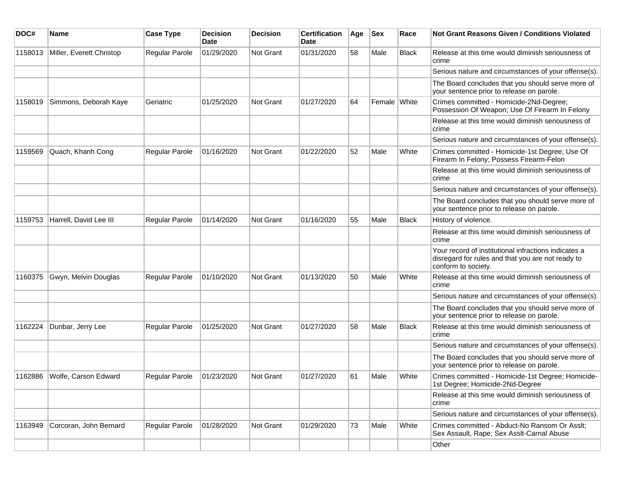| DOC#    | <b>Name</b>              | <b>Case Type</b>      | <b>Decision</b><br><b>Date</b> | <b>Decision</b> | <b>Certification</b><br>Date | Age | <b>Sex</b>   | Race         | <b>Not Grant Reasons Given / Conditions Violated</b>                                                                             |
|---------|--------------------------|-----------------------|--------------------------------|-----------------|------------------------------|-----|--------------|--------------|----------------------------------------------------------------------------------------------------------------------------------|
| 1158013 | Miller, Everett Christop | Regular Parole        | 01/29/2020                     | Not Grant       | 01/31/2020                   | 58  | Male         | Black        | Release at this time would diminish seriousness of<br>crime                                                                      |
|         |                          |                       |                                |                 |                              |     |              |              | Serious nature and circumstances of your offense(s).                                                                             |
|         |                          |                       |                                |                 |                              |     |              |              | The Board concludes that you should serve more of<br>your sentence prior to release on parole.                                   |
| 1158019 | Simmons, Deborah Kaye    | Geriatric             | 01/25/2020                     | Not Grant       | 01/27/2020                   | 64  | Female White |              | Crimes committed - Homicide-2Nd-Degree;<br>Possession Of Weapon; Use Of Firearm In Felony                                        |
|         |                          |                       |                                |                 |                              |     |              |              | Release at this time would diminish seriousness of<br>crime                                                                      |
|         |                          |                       |                                |                 |                              |     |              |              | Serious nature and circumstances of your offense(s).                                                                             |
| 1159569 | Quach, Khanh Cong        | Regular Parole        | 01/16/2020                     | Not Grant       | 01/22/2020                   | 52  | Male         | White        | Crimes committed - Homicide-1st Degree; Use Of<br>Firearm In Felony; Possess Firearm-Felon                                       |
|         |                          |                       |                                |                 |                              |     |              |              | Release at this time would diminish seriousness of<br>crime                                                                      |
|         |                          |                       |                                |                 |                              |     |              |              | Serious nature and circumstances of your offense(s).                                                                             |
|         |                          |                       |                                |                 |                              |     |              |              | The Board concludes that you should serve more of<br>your sentence prior to release on parole.                                   |
| 1159753 | Harrell, David Lee III   | Regular Parole        | 01/14/2020                     | Not Grant       | 01/16/2020                   | 55  | Male         | <b>Black</b> | History of violence.                                                                                                             |
|         |                          |                       |                                |                 |                              |     |              |              | Release at this time would diminish seriousness of<br>crime                                                                      |
|         |                          |                       |                                |                 |                              |     |              |              | Your record of institutional infractions indicates a<br>disregard for rules and that you are not ready to<br>conform to society. |
| 1160375 | Gwyn, Melvin Douglas     | Regular Parole        | 01/10/2020                     | Not Grant       | 01/13/2020                   | 50  | Male         | White        | Release at this time would diminish seriousness of<br>crime                                                                      |
|         |                          |                       |                                |                 |                              |     |              |              | Serious nature and circumstances of your offense(s).                                                                             |
|         |                          |                       |                                |                 |                              |     |              |              | The Board concludes that you should serve more of<br>your sentence prior to release on parole.                                   |
| 1162224 | Dunbar, Jerry Lee        | <b>Regular Parole</b> | 01/25/2020                     | Not Grant       | 01/27/2020                   | 58  | Male         | <b>Black</b> | Release at this time would diminish seriousness of<br>crime                                                                      |
|         |                          |                       |                                |                 |                              |     |              |              | Serious nature and circumstances of your offense(s).                                                                             |
|         |                          |                       |                                |                 |                              |     |              |              | The Board concludes that you should serve more of<br>your sentence prior to release on parole.                                   |
| 1162886 | Wolfe, Carson Edward     | <b>Regular Parole</b> | 01/23/2020                     | Not Grant       | 01/27/2020                   | 61  | Male         | White        | Crimes committed - Homicide-1st Degree; Homicide-<br>1st Degree; Homicide-2Nd-Degree                                             |
|         |                          |                       |                                |                 |                              |     |              |              | Release at this time would diminish seriousness of<br>crime                                                                      |
|         |                          |                       |                                |                 |                              |     |              |              | Serious nature and circumstances of your offense(s).                                                                             |
| 1163949 | Corcoran, John Bernard   | Regular Parole        | 01/28/2020                     | Not Grant       | 01/29/2020                   | 73  | Male         | White        | Crimes committed - Abduct-No Ransom Or Asslt;<br>Sex Assault, Rape; Sex Asslt-Carnal Abuse                                       |
|         |                          |                       |                                |                 |                              |     |              |              | Other                                                                                                                            |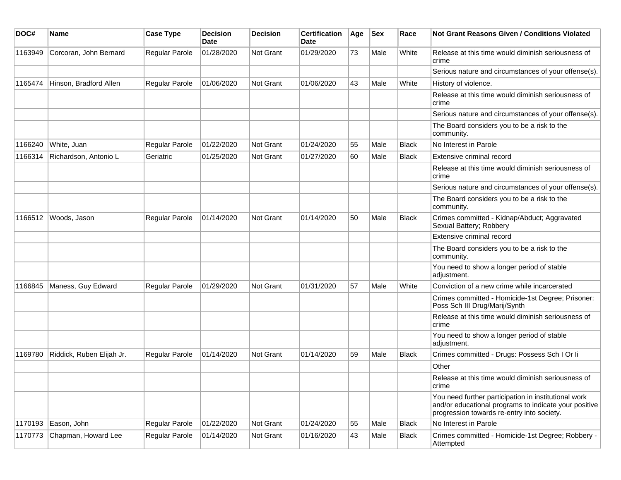| DOC#    | Name                      | <b>Case Type</b>      | <b>Decision</b><br>Date | <b>Decision</b>  | <b>Certification</b><br>Date | Age | <b>Sex</b> | Race         | <b>Not Grant Reasons Given / Conditions Violated</b>                                                                                                        |
|---------|---------------------------|-----------------------|-------------------------|------------------|------------------------------|-----|------------|--------------|-------------------------------------------------------------------------------------------------------------------------------------------------------------|
| 1163949 | Corcoran, John Bernard    | <b>Regular Parole</b> | 01/28/2020              | Not Grant        | 01/29/2020                   | 73  | Male       | White        | Release at this time would diminish seriousness of<br>crime                                                                                                 |
|         |                           |                       |                         |                  |                              |     |            |              | Serious nature and circumstances of your offense(s).                                                                                                        |
| 1165474 | Hinson, Bradford Allen    | <b>Regular Parole</b> | 01/06/2020              | <b>Not Grant</b> | 01/06/2020                   | 43  | Male       | White        | History of violence.                                                                                                                                        |
|         |                           |                       |                         |                  |                              |     |            |              | Release at this time would diminish seriousness of<br>crime                                                                                                 |
|         |                           |                       |                         |                  |                              |     |            |              | Serious nature and circumstances of your offense(s).                                                                                                        |
|         |                           |                       |                         |                  |                              |     |            |              | The Board considers you to be a risk to the<br>community.                                                                                                   |
| 1166240 | White, Juan               | Regular Parole        | 01/22/2020              | Not Grant        | 01/24/2020                   | 55  | Male       | <b>Black</b> | No Interest in Parole                                                                                                                                       |
| 1166314 | Richardson, Antonio L     | Geriatric             | 01/25/2020              | <b>Not Grant</b> | 01/27/2020                   | 60  | Male       | Black        | Extensive criminal record                                                                                                                                   |
|         |                           |                       |                         |                  |                              |     |            |              | Release at this time would diminish seriousness of<br>crime                                                                                                 |
|         |                           |                       |                         |                  |                              |     |            |              | Serious nature and circumstances of your offense(s).                                                                                                        |
|         |                           |                       |                         |                  |                              |     |            |              | The Board considers you to be a risk to the<br>community.                                                                                                   |
| 1166512 | Woods, Jason              | <b>Regular Parole</b> | 01/14/2020              | <b>Not Grant</b> | 01/14/2020                   | 50  | Male       | Black        | Crimes committed - Kidnap/Abduct; Aggravated<br>Sexual Battery; Robbery                                                                                     |
|         |                           |                       |                         |                  |                              |     |            |              | Extensive criminal record                                                                                                                                   |
|         |                           |                       |                         |                  |                              |     |            |              | The Board considers you to be a risk to the<br>community.                                                                                                   |
|         |                           |                       |                         |                  |                              |     |            |              | You need to show a longer period of stable<br>adjustment.                                                                                                   |
| 1166845 | Maness, Guy Edward        | Regular Parole        | 01/29/2020              | <b>Not Grant</b> | 01/31/2020                   | 57  | Male       | White        | Conviction of a new crime while incarcerated                                                                                                                |
|         |                           |                       |                         |                  |                              |     |            |              | Crimes committed - Homicide-1st Degree; Prisoner:<br>Poss Sch III Drug/Marij/Synth                                                                          |
|         |                           |                       |                         |                  |                              |     |            |              | Release at this time would diminish seriousness of<br>crime                                                                                                 |
|         |                           |                       |                         |                  |                              |     |            |              | You need to show a longer period of stable<br>adjustment.                                                                                                   |
| 1169780 | Riddick, Ruben Elijah Jr. | <b>Regular Parole</b> | 01/14/2020              | <b>Not Grant</b> | 01/14/2020                   | 59  | Male       | Black        | Crimes committed - Drugs: Possess Sch I Or li                                                                                                               |
|         |                           |                       |                         |                  |                              |     |            |              | Other                                                                                                                                                       |
|         |                           |                       |                         |                  |                              |     |            |              | Release at this time would diminish seriousness of<br>crime                                                                                                 |
|         |                           |                       |                         |                  |                              |     |            |              | You need further participation in institutional work<br>and/or educational programs to indicate your positive<br>progression towards re-entry into society. |
| 1170193 | Eason, John               | Regular Parole        | 01/22/2020              | Not Grant        | 01/24/2020                   | 55  | Male       | Black        | No Interest in Parole                                                                                                                                       |
| 1170773 | Chapman, Howard Lee       | Regular Parole        | 01/14/2020              | Not Grant        | 01/16/2020                   | 43  | Male       | Black        | Crimes committed - Homicide-1st Degree; Robbery -<br>Attempted                                                                                              |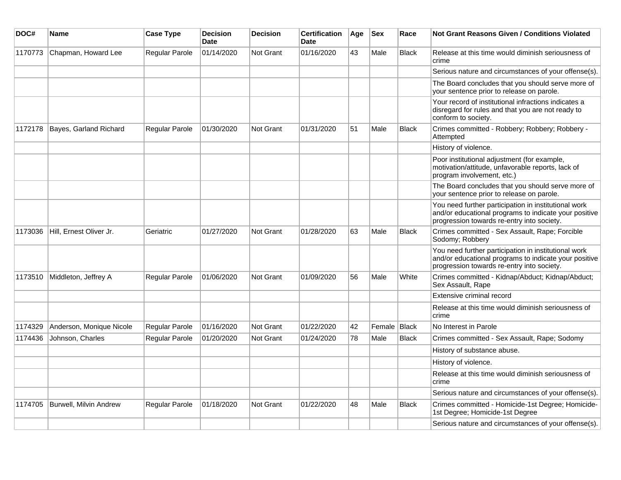| DOC#    | Name                     | <b>Case Type</b>      | <b>Decision</b><br><b>Date</b> | <b>Decision</b>  | <b>Certification</b><br>Date | Age | <b>Sex</b>   | Race         | <b>Not Grant Reasons Given / Conditions Violated</b>                                                                                                        |
|---------|--------------------------|-----------------------|--------------------------------|------------------|------------------------------|-----|--------------|--------------|-------------------------------------------------------------------------------------------------------------------------------------------------------------|
| 1170773 | Chapman, Howard Lee      | Regular Parole        | 01/14/2020                     | Not Grant        | 01/16/2020                   | 43  | Male         | <b>Black</b> | Release at this time would diminish seriousness of<br>crime                                                                                                 |
|         |                          |                       |                                |                  |                              |     |              |              | Serious nature and circumstances of your offense(s).                                                                                                        |
|         |                          |                       |                                |                  |                              |     |              |              | The Board concludes that you should serve more of<br>your sentence prior to release on parole.                                                              |
|         |                          |                       |                                |                  |                              |     |              |              | Your record of institutional infractions indicates a<br>disregard for rules and that you are not ready to<br>conform to society.                            |
| 1172178 | Bayes, Garland Richard   | <b>Regular Parole</b> | 01/30/2020                     | Not Grant        | 01/31/2020                   | 51  | Male         | <b>Black</b> | Crimes committed - Robbery; Robbery; Robbery -<br>Attempted                                                                                                 |
|         |                          |                       |                                |                  |                              |     |              |              | History of violence.                                                                                                                                        |
|         |                          |                       |                                |                  |                              |     |              |              | Poor institutional adjustment (for example,<br>motivation/attitude, unfavorable reports, lack of<br>program involvement, etc.)                              |
|         |                          |                       |                                |                  |                              |     |              |              | The Board concludes that you should serve more of<br>your sentence prior to release on parole.                                                              |
|         |                          |                       |                                |                  |                              |     |              |              | You need further participation in institutional work<br>and/or educational programs to indicate your positive<br>progression towards re-entry into society. |
| 1173036 | Hill, Ernest Oliver Jr.  | Geriatric             | 01/27/2020                     | Not Grant        | 01/28/2020                   | 63  | Male         | <b>Black</b> | Crimes committed - Sex Assault, Rape; Forcible<br>Sodomy; Robbery                                                                                           |
|         |                          |                       |                                |                  |                              |     |              |              | You need further participation in institutional work<br>and/or educational programs to indicate your positive<br>progression towards re-entry into society. |
| 1173510 | Middleton, Jeffrey A     | Regular Parole        | 01/06/2020                     | Not Grant        | 01/09/2020                   | 56  | Male         | White        | Crimes committed - Kidnap/Abduct; Kidnap/Abduct;<br>Sex Assault, Rape                                                                                       |
|         |                          |                       |                                |                  |                              |     |              |              | Extensive criminal record                                                                                                                                   |
|         |                          |                       |                                |                  |                              |     |              |              | Release at this time would diminish seriousness of<br>crime                                                                                                 |
| 1174329 | Anderson, Monique Nicole | Regular Parole        | 01/16/2020                     | Not Grant        | 01/22/2020                   | 42  | Female Black |              | No Interest in Parole                                                                                                                                       |
| 1174436 | Johnson, Charles         | Regular Parole        | 01/20/2020                     | <b>Not Grant</b> | 01/24/2020                   | 78  | Male         | <b>Black</b> | Crimes committed - Sex Assault, Rape; Sodomy                                                                                                                |
|         |                          |                       |                                |                  |                              |     |              |              | History of substance abuse.                                                                                                                                 |
|         |                          |                       |                                |                  |                              |     |              |              | History of violence.                                                                                                                                        |
|         |                          |                       |                                |                  |                              |     |              |              | Release at this time would diminish seriousness of<br>crime                                                                                                 |
|         |                          |                       |                                |                  |                              |     |              |              | Serious nature and circumstances of your offense(s).                                                                                                        |
| 1174705 | Burwell, Milvin Andrew   | Regular Parole        | 01/18/2020                     | <b>Not Grant</b> | 01/22/2020                   | 48  | Male         | <b>Black</b> | Crimes committed - Homicide-1st Degree; Homicide-<br>1st Degree; Homicide-1st Degree                                                                        |
|         |                          |                       |                                |                  |                              |     |              |              | Serious nature and circumstances of your offense(s).                                                                                                        |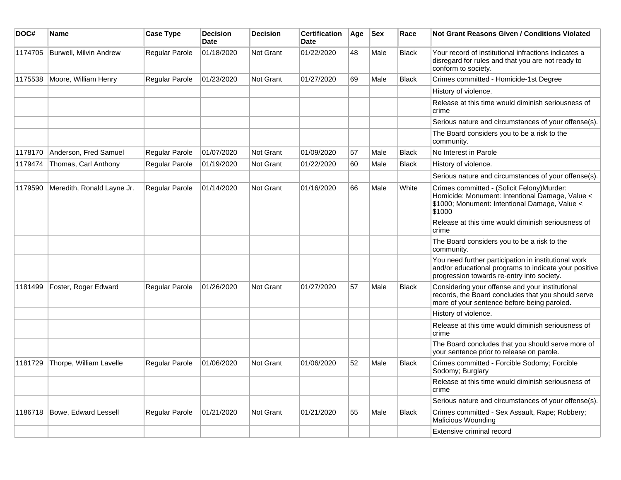| DOC#    | Name                       | <b>Case Type</b>      | <b>Decision</b><br><b>Date</b> | <b>Decision</b>  | <b>Certification</b><br><b>Date</b> | Age | <b>Sex</b> | Race         | <b>Not Grant Reasons Given / Conditions Violated</b>                                                                                                        |
|---------|----------------------------|-----------------------|--------------------------------|------------------|-------------------------------------|-----|------------|--------------|-------------------------------------------------------------------------------------------------------------------------------------------------------------|
| 1174705 | Burwell, Milvin Andrew     | Regular Parole        | 01/18/2020                     | <b>Not Grant</b> | 01/22/2020                          | 48  | Male       | <b>Black</b> | Your record of institutional infractions indicates a<br>disregard for rules and that you are not ready to<br>conform to society.                            |
| 1175538 | Moore, William Henry       | Regular Parole        | 01/23/2020                     | Not Grant        | 01/27/2020                          | 69  | Male       | Black        | Crimes committed - Homicide-1st Degree                                                                                                                      |
|         |                            |                       |                                |                  |                                     |     |            |              | History of violence.                                                                                                                                        |
|         |                            |                       |                                |                  |                                     |     |            |              | Release at this time would diminish seriousness of<br>crime                                                                                                 |
|         |                            |                       |                                |                  |                                     |     |            |              | Serious nature and circumstances of your offense(s).                                                                                                        |
|         |                            |                       |                                |                  |                                     |     |            |              | The Board considers you to be a risk to the<br>community.                                                                                                   |
| 1178170 | Anderson, Fred Samuel      | <b>Regular Parole</b> | 01/07/2020                     | <b>Not Grant</b> | 01/09/2020                          | 57  | Male       | <b>Black</b> | No Interest in Parole                                                                                                                                       |
| 1179474 | Thomas, Carl Anthony       | Regular Parole        | 01/19/2020                     | <b>Not Grant</b> | 01/22/2020                          | 60  | Male       | <b>Black</b> | History of violence.                                                                                                                                        |
|         |                            |                       |                                |                  |                                     |     |            |              | Serious nature and circumstances of your offense(s).                                                                                                        |
| 1179590 | Meredith, Ronald Layne Jr. | <b>Regular Parole</b> | 01/14/2020                     | <b>Not Grant</b> | 01/16/2020                          | 66  | Male       | White        | Crimes committed - (Solicit Felony)Murder:<br>Homicide; Monument: Intentional Damage, Value <<br>\$1000; Monument: Intentional Damage, Value <<br>\$1000    |
|         |                            |                       |                                |                  |                                     |     |            |              | Release at this time would diminish seriousness of<br>crime                                                                                                 |
|         |                            |                       |                                |                  |                                     |     |            |              | The Board considers you to be a risk to the<br>community.                                                                                                   |
|         |                            |                       |                                |                  |                                     |     |            |              | You need further participation in institutional work<br>and/or educational programs to indicate your positive<br>progression towards re-entry into society. |
| 1181499 | Foster, Roger Edward       | <b>Regular Parole</b> | 01/26/2020                     | <b>Not Grant</b> | 01/27/2020                          | 57  | Male       | <b>Black</b> | Considering your offense and your institutional<br>records, the Board concludes that you should serve<br>more of your sentence before being paroled.        |
|         |                            |                       |                                |                  |                                     |     |            |              | History of violence.                                                                                                                                        |
|         |                            |                       |                                |                  |                                     |     |            |              | Release at this time would diminish seriousness of<br>crime                                                                                                 |
|         |                            |                       |                                |                  |                                     |     |            |              | The Board concludes that you should serve more of<br>your sentence prior to release on parole.                                                              |
| 1181729 | Thorpe, William Lavelle    | Regular Parole        | 01/06/2020                     | <b>Not Grant</b> | 01/06/2020                          | 52  | Male       | <b>Black</b> | Crimes committed - Forcible Sodomy; Forcible<br>Sodomy; Burglary                                                                                            |
|         |                            |                       |                                |                  |                                     |     |            |              | Release at this time would diminish seriousness of<br>crime                                                                                                 |
|         |                            |                       |                                |                  |                                     |     |            |              | Serious nature and circumstances of your offense(s).                                                                                                        |
| 1186718 | Bowe, Edward Lessell       | <b>Regular Parole</b> | 01/21/2020                     | <b>Not Grant</b> | 01/21/2020                          | 55  | Male       | <b>Black</b> | Crimes committed - Sex Assault, Rape; Robbery;<br>Malicious Wounding                                                                                        |
|         |                            |                       |                                |                  |                                     |     |            |              | Extensive criminal record                                                                                                                                   |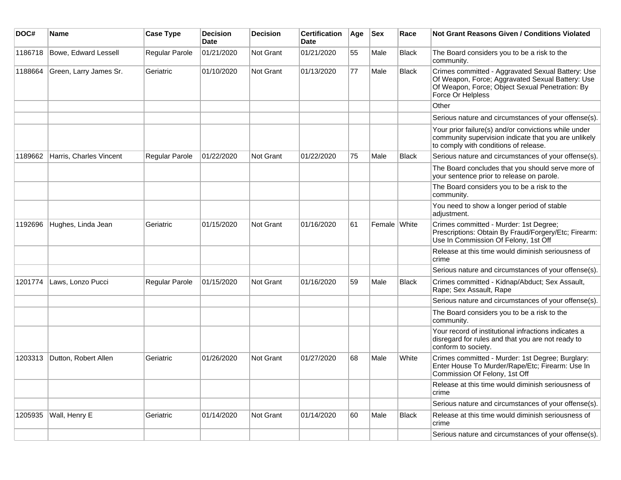| DOC#    | <b>Name</b>             | <b>Case Type</b>      | <b>Decision</b><br><b>Date</b> | <b>Decision</b> | <b>Certification</b><br><b>Date</b> | Age | <b>Sex</b>   | Race         | <b>Not Grant Reasons Given / Conditions Violated</b>                                                                                                                          |
|---------|-------------------------|-----------------------|--------------------------------|-----------------|-------------------------------------|-----|--------------|--------------|-------------------------------------------------------------------------------------------------------------------------------------------------------------------------------|
| 1186718 | Bowe, Edward Lessell    | Regular Parole        | 01/21/2020                     | Not Grant       | 01/21/2020                          | 55  | Male         | <b>Black</b> | The Board considers you to be a risk to the<br>community.                                                                                                                     |
| 1188664 | Green, Larry James Sr.  | Geriatric             | 01/10/2020                     | Not Grant       | 01/13/2020                          | 77  | Male         | <b>Black</b> | Crimes committed - Aggravated Sexual Battery: Use<br>Of Weapon, Force; Aggravated Sexual Battery: Use<br>Of Weapon, Force; Object Sexual Penetration: By<br>Force Or Helpless |
|         |                         |                       |                                |                 |                                     |     |              |              | Other                                                                                                                                                                         |
|         |                         |                       |                                |                 |                                     |     |              |              | Serious nature and circumstances of your offense(s).                                                                                                                          |
|         |                         |                       |                                |                 |                                     |     |              |              | Your prior failure(s) and/or convictions while under<br>community supervision indicate that you are unlikely<br>to comply with conditions of release.                         |
| 1189662 | Harris, Charles Vincent | <b>Regular Parole</b> | 01/22/2020                     | Not Grant       | 01/22/2020                          | 75  | Male         | <b>Black</b> | Serious nature and circumstances of your offense(s).                                                                                                                          |
|         |                         |                       |                                |                 |                                     |     |              |              | The Board concludes that you should serve more of<br>your sentence prior to release on parole.                                                                                |
|         |                         |                       |                                |                 |                                     |     |              |              | The Board considers you to be a risk to the<br>community.                                                                                                                     |
|         |                         |                       |                                |                 |                                     |     |              |              | You need to show a longer period of stable<br>adjustment.                                                                                                                     |
| 1192696 | Hughes, Linda Jean      | Geriatric             | 01/15/2020                     | Not Grant       | 01/16/2020                          | 61  | Female White |              | Crimes committed - Murder: 1st Degree;<br>Prescriptions: Obtain By Fraud/Forgery/Etc; Firearm:<br>Use In Commission Of Felony, 1st Off                                        |
|         |                         |                       |                                |                 |                                     |     |              |              | Release at this time would diminish seriousness of<br>crime                                                                                                                   |
|         |                         |                       |                                |                 |                                     |     |              |              | Serious nature and circumstances of your offense(s).                                                                                                                          |
| 1201774 | Laws, Lonzo Pucci       | Regular Parole        | 01/15/2020                     | Not Grant       | 01/16/2020                          | 59  | Male         | <b>Black</b> | Crimes committed - Kidnap/Abduct; Sex Assault,<br>Rape; Sex Assault, Rape                                                                                                     |
|         |                         |                       |                                |                 |                                     |     |              |              | Serious nature and circumstances of your offense(s).                                                                                                                          |
|         |                         |                       |                                |                 |                                     |     |              |              | The Board considers you to be a risk to the<br>community.                                                                                                                     |
|         |                         |                       |                                |                 |                                     |     |              |              | Your record of institutional infractions indicates a<br>disregard for rules and that you are not ready to<br>conform to society.                                              |
| 1203313 | Dutton, Robert Allen    | Geriatric             | 01/26/2020                     | Not Grant       | 01/27/2020                          | 68  | Male         | White        | Crimes committed - Murder: 1st Degree; Burglary:<br>Enter House To Murder/Rape/Etc; Firearm: Use In<br>Commission Of Felony, 1st Off                                          |
|         |                         |                       |                                |                 |                                     |     |              |              | Release at this time would diminish seriousness of<br>crime                                                                                                                   |
|         |                         |                       |                                |                 |                                     |     |              |              | Serious nature and circumstances of your offense(s).                                                                                                                          |
| 1205935 | Wall, Henry E           | Geriatric             | 01/14/2020                     | Not Grant       | 01/14/2020                          | 60  | Male         | Black        | Release at this time would diminish seriousness of<br>crime                                                                                                                   |
|         |                         |                       |                                |                 |                                     |     |              |              | Serious nature and circumstances of your offense(s).                                                                                                                          |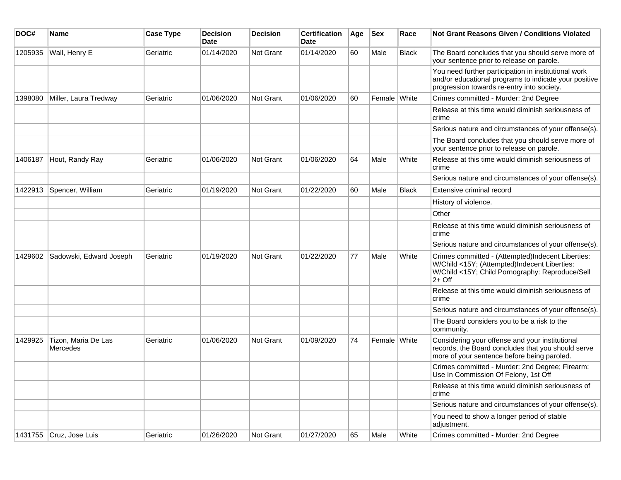| DOC#    | <b>Name</b>                     | <b>Case Type</b> | <b>Decision</b><br><b>Date</b> | <b>Decision</b> | <b>Certification</b><br>Date | Age | <b>Sex</b>   | Race         | Not Grant Reasons Given / Conditions Violated                                                                                                                    |
|---------|---------------------------------|------------------|--------------------------------|-----------------|------------------------------|-----|--------------|--------------|------------------------------------------------------------------------------------------------------------------------------------------------------------------|
| 1205935 | Wall, Henry E                   | Geriatric        | 01/14/2020                     | Not Grant       | 01/14/2020                   | 60  | Male         | <b>Black</b> | The Board concludes that you should serve more of<br>your sentence prior to release on parole.                                                                   |
|         |                                 |                  |                                |                 |                              |     |              |              | You need further participation in institutional work<br>and/or educational programs to indicate your positive<br>progression towards re-entry into society.      |
| 1398080 | Miller, Laura Tredway           | Geriatric        | 01/06/2020                     | Not Grant       | 01/06/2020                   | 60  | Female White |              | Crimes committed - Murder: 2nd Degree                                                                                                                            |
|         |                                 |                  |                                |                 |                              |     |              |              | Release at this time would diminish seriousness of<br>crime                                                                                                      |
|         |                                 |                  |                                |                 |                              |     |              |              | Serious nature and circumstances of your offense(s).                                                                                                             |
|         |                                 |                  |                                |                 |                              |     |              |              | The Board concludes that you should serve more of<br>your sentence prior to release on parole.                                                                   |
| 1406187 | Hout, Randy Ray                 | Geriatric        | 01/06/2020                     | Not Grant       | 01/06/2020                   | 64  | Male         | White        | Release at this time would diminish seriousness of<br>crime                                                                                                      |
|         |                                 |                  |                                |                 |                              |     |              |              | Serious nature and circumstances of your offense(s).                                                                                                             |
| 1422913 | Spencer, William                | Geriatric        | 01/19/2020                     | Not Grant       | 01/22/2020                   | 60  | Male         | <b>Black</b> | Extensive criminal record                                                                                                                                        |
|         |                                 |                  |                                |                 |                              |     |              |              | History of violence.                                                                                                                                             |
|         |                                 |                  |                                |                 |                              |     |              |              | Other                                                                                                                                                            |
|         |                                 |                  |                                |                 |                              |     |              |              | Release at this time would diminish seriousness of<br>crime                                                                                                      |
|         |                                 |                  |                                |                 |                              |     |              |              | Serious nature and circumstances of your offense(s).                                                                                                             |
| 1429602 | Sadowski, Edward Joseph         | Geriatric        | 01/19/2020                     | Not Grant       | 01/22/2020                   | 77  | Male         | White        | Crimes committed - (Attempted)Indecent Liberties:<br>W/Child <15Y; (Attempted)Indecent Liberties:<br>W/Child <15Y; Child Pornography: Reproduce/Sell<br>$2+$ Off |
|         |                                 |                  |                                |                 |                              |     |              |              | Release at this time would diminish seriousness of<br>crime                                                                                                      |
|         |                                 |                  |                                |                 |                              |     |              |              | Serious nature and circumstances of your offense(s).                                                                                                             |
|         |                                 |                  |                                |                 |                              |     |              |              | The Board considers you to be a risk to the<br>community.                                                                                                        |
| 1429925 | Tizon, Maria De Las<br>Mercedes | Geriatric        | 01/06/2020                     | Not Grant       | 01/09/2020                   | 74  | Female White |              | Considering your offense and your institutional<br>records, the Board concludes that you should serve<br>more of your sentence before being paroled.             |
|         |                                 |                  |                                |                 |                              |     |              |              | Crimes committed - Murder: 2nd Degree; Firearm:<br>Use In Commission Of Felony, 1st Off                                                                          |
|         |                                 |                  |                                |                 |                              |     |              |              | Release at this time would diminish seriousness of<br>crime                                                                                                      |
|         |                                 |                  |                                |                 |                              |     |              |              | Serious nature and circumstances of your offense(s).                                                                                                             |
|         |                                 |                  |                                |                 |                              |     |              |              | You need to show a longer period of stable<br>adjustment.                                                                                                        |
|         | 1431755 Cruz, Jose Luis         | Geriatric        | 01/26/2020                     | Not Grant       | 01/27/2020                   | 65  | Male         | White        | Crimes committed - Murder: 2nd Degree                                                                                                                            |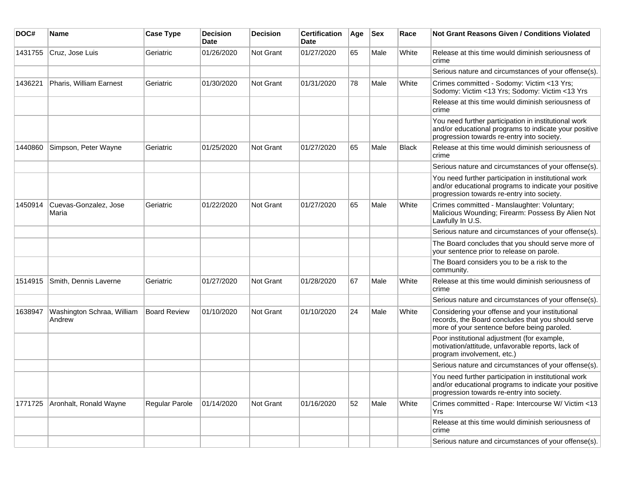| DOC#    | Name                                 | <b>Case Type</b>    | <b>Decision</b><br>Date | <b>Decision</b>  | <b>Certification</b><br>Date | Age | <b>Sex</b> | Race         | <b>Not Grant Reasons Given / Conditions Violated</b>                                                                                                        |
|---------|--------------------------------------|---------------------|-------------------------|------------------|------------------------------|-----|------------|--------------|-------------------------------------------------------------------------------------------------------------------------------------------------------------|
| 1431755 | Cruz, Jose Luis                      | Geriatric           | 01/26/2020              | Not Grant        | 01/27/2020                   | 65  | Male       | White        | Release at this time would diminish seriousness of<br>crime                                                                                                 |
|         |                                      |                     |                         |                  |                              |     |            |              | Serious nature and circumstances of your offense(s).                                                                                                        |
| 1436221 | Pharis, William Earnest              | Geriatric           | 01/30/2020              | Not Grant        | 01/31/2020                   | 78  | Male       | White        | Crimes committed - Sodomy: Victim <13 Yrs;<br>Sodomy: Victim <13 Yrs; Sodomy: Victim <13 Yrs                                                                |
|         |                                      |                     |                         |                  |                              |     |            |              | Release at this time would diminish seriousness of<br>crime                                                                                                 |
|         |                                      |                     |                         |                  |                              |     |            |              | You need further participation in institutional work<br>and/or educational programs to indicate your positive<br>progression towards re-entry into society. |
| 1440860 | Simpson, Peter Wayne                 | Geriatric           | 01/25/2020              | Not Grant        | 01/27/2020                   | 65  | Male       | <b>Black</b> | Release at this time would diminish seriousness of<br>crime                                                                                                 |
|         |                                      |                     |                         |                  |                              |     |            |              | Serious nature and circumstances of your offense(s).                                                                                                        |
|         |                                      |                     |                         |                  |                              |     |            |              | You need further participation in institutional work<br>and/or educational programs to indicate your positive<br>progression towards re-entry into society. |
| 1450914 | Cuevas-Gonzalez, Jose<br>Maria       | Geriatric           | 01/22/2020              | <b>Not Grant</b> | 01/27/2020                   | 65  | Male       | White        | Crimes committed - Manslaughter: Voluntary;<br>Malicious Wounding; Firearm: Possess By Alien Not<br>Lawfully In U.S.                                        |
|         |                                      |                     |                         |                  |                              |     |            |              | Serious nature and circumstances of your offense(s).                                                                                                        |
|         |                                      |                     |                         |                  |                              |     |            |              | The Board concludes that you should serve more of<br>your sentence prior to release on parole.                                                              |
|         |                                      |                     |                         |                  |                              |     |            |              | The Board considers you to be a risk to the<br>community.                                                                                                   |
| 1514915 | Smith, Dennis Laverne                | Geriatric           | 01/27/2020              | <b>Not Grant</b> | 01/28/2020                   | 67  | Male       | White        | Release at this time would diminish seriousness of<br>crime                                                                                                 |
|         |                                      |                     |                         |                  |                              |     |            |              | Serious nature and circumstances of your offense(s).                                                                                                        |
| 1638947 | Washington Schraa, William<br>Andrew | <b>Board Review</b> | 01/10/2020              | <b>Not Grant</b> | 01/10/2020                   | 24  | Male       | White        | Considering your offense and your institutional<br>records, the Board concludes that you should serve<br>more of your sentence before being paroled.        |
|         |                                      |                     |                         |                  |                              |     |            |              | Poor institutional adjustment (for example,<br>motivation/attitude, unfavorable reports, lack of<br>program involvement, etc.)                              |
|         |                                      |                     |                         |                  |                              |     |            |              | Serious nature and circumstances of your offense(s).                                                                                                        |
|         |                                      |                     |                         |                  |                              |     |            |              | You need further participation in institutional work<br>and/or educational programs to indicate your positive<br>progression towards re-entry into society. |
| 1771725 | Aronhalt, Ronald Wayne               | Regular Parole      | 01/14/2020              | Not Grant        | 01/16/2020                   | 52  | Male       | White        | Crimes committed - Rape: Intercourse W/ Victim <13<br>Yrs                                                                                                   |
|         |                                      |                     |                         |                  |                              |     |            |              | Release at this time would diminish seriousness of<br>crime                                                                                                 |
|         |                                      |                     |                         |                  |                              |     |            |              | Serious nature and circumstances of your offense(s).                                                                                                        |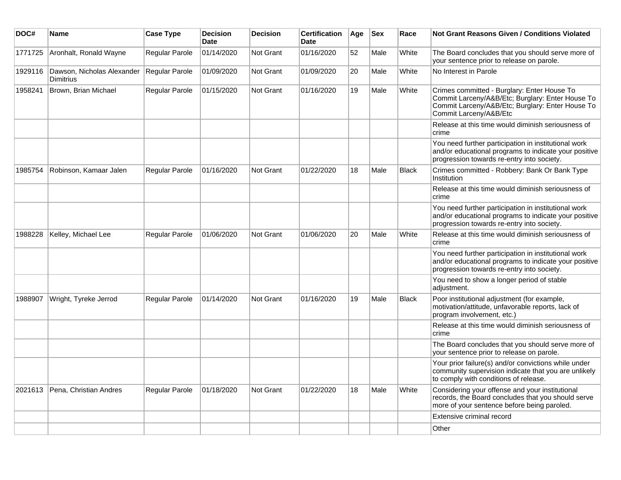| DOC#    | <b>Name</b>                                    | <b>Case Type</b> | <b>Decision</b><br>Date | <b>Decision</b>  | Certification<br><b>Date</b> | Age | <b>Sex</b> | Race         | <b>Not Grant Reasons Given / Conditions Violated</b>                                                                                                                          |
|---------|------------------------------------------------|------------------|-------------------------|------------------|------------------------------|-----|------------|--------------|-------------------------------------------------------------------------------------------------------------------------------------------------------------------------------|
| 1771725 | Aronhalt, Ronald Wayne                         | Regular Parole   | 01/14/2020              | Not Grant        | 01/16/2020                   | 52  | Male       | White        | The Board concludes that you should serve more of<br>your sentence prior to release on parole.                                                                                |
| 1929116 | Dawson, Nicholas Alexander<br><b>Dimitrius</b> | Regular Parole   | 01/09/2020              | <b>Not Grant</b> | 01/09/2020                   | 20  | Male       | White        | No Interest in Parole                                                                                                                                                         |
| 1958241 | Brown, Brian Michael                           | Regular Parole   | 01/15/2020              | Not Grant        | 01/16/2020                   | 19  | Male       | White        | Crimes committed - Burglary: Enter House To<br>Commit Larceny/A&B/Etc; Burglary: Enter House To<br>Commit Larceny/A&B/Etc; Burglary: Enter House To<br>Commit Larceny/A&B/Etc |
|         |                                                |                  |                         |                  |                              |     |            |              | Release at this time would diminish seriousness of<br>crime                                                                                                                   |
|         |                                                |                  |                         |                  |                              |     |            |              | You need further participation in institutional work<br>and/or educational programs to indicate your positive<br>progression towards re-entry into society.                   |
| 1985754 | Robinson, Kamaar Jalen                         | Regular Parole   | 01/16/2020              | <b>Not Grant</b> | 01/22/2020                   | 18  | Male       | <b>Black</b> | Crimes committed - Robbery: Bank Or Bank Type<br>Institution                                                                                                                  |
|         |                                                |                  |                         |                  |                              |     |            |              | Release at this time would diminish seriousness of<br>crime                                                                                                                   |
|         |                                                |                  |                         |                  |                              |     |            |              | You need further participation in institutional work<br>and/or educational programs to indicate your positive<br>progression towards re-entry into society.                   |
| 1988228 | Kelley, Michael Lee                            | Regular Parole   | 01/06/2020              | <b>Not Grant</b> | 01/06/2020                   | 20  | Male       | White        | Release at this time would diminish seriousness of<br>crime                                                                                                                   |
|         |                                                |                  |                         |                  |                              |     |            |              | You need further participation in institutional work<br>and/or educational programs to indicate your positive<br>progression towards re-entry into society.                   |
|         |                                                |                  |                         |                  |                              |     |            |              | You need to show a longer period of stable<br>adjustment.                                                                                                                     |
| 1988907 | Wright, Tyreke Jerrod                          | Regular Parole   | 01/14/2020              | Not Grant        | 01/16/2020                   | 19  | Male       | <b>Black</b> | Poor institutional adjustment (for example,<br>motivation/attitude, unfavorable reports, lack of<br>program involvement, etc.)                                                |
|         |                                                |                  |                         |                  |                              |     |            |              | Release at this time would diminish seriousness of<br>crime                                                                                                                   |
|         |                                                |                  |                         |                  |                              |     |            |              | The Board concludes that you should serve more of<br>your sentence prior to release on parole.                                                                                |
|         |                                                |                  |                         |                  |                              |     |            |              | Your prior failure(s) and/or convictions while under<br>community supervision indicate that you are unlikely<br>to comply with conditions of release.                         |
| 2021613 | Pena, Christian Andres                         | Regular Parole   | 01/18/2020              | <b>Not Grant</b> | 01/22/2020                   | 18  | Male       | White        | Considering your offense and your institutional<br>records, the Board concludes that you should serve<br>more of your sentence before being paroled.                          |
|         |                                                |                  |                         |                  |                              |     |            |              | Extensive criminal record                                                                                                                                                     |
|         |                                                |                  |                         |                  |                              |     |            |              | Other                                                                                                                                                                         |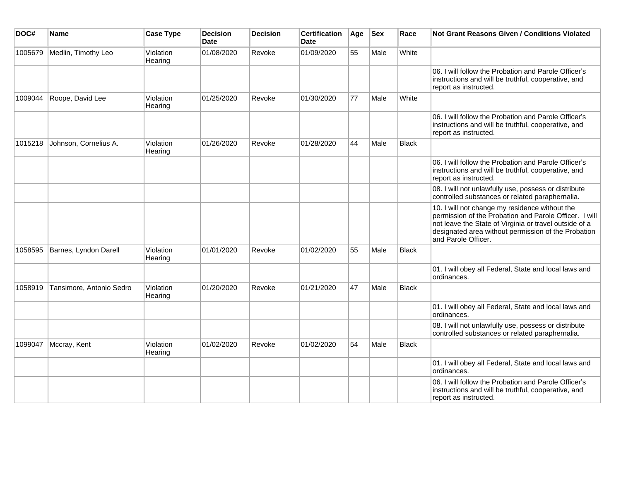| DOC#    | <b>Name</b>              | <b>Case Type</b>     | <b>Decision</b><br><b>Date</b> | <b>Decision</b> | <b>Certification</b><br><b>Date</b> | Age | <b>Sex</b> | Race         | <b>Not Grant Reasons Given / Conditions Violated</b>                                                                                                                                                                                             |
|---------|--------------------------|----------------------|--------------------------------|-----------------|-------------------------------------|-----|------------|--------------|--------------------------------------------------------------------------------------------------------------------------------------------------------------------------------------------------------------------------------------------------|
| 1005679 | Medlin, Timothy Leo      | Violation<br>Hearing | 01/08/2020                     | Revoke          | 01/09/2020                          | 55  | Male       | White        |                                                                                                                                                                                                                                                  |
|         |                          |                      |                                |                 |                                     |     |            |              | 06. I will follow the Probation and Parole Officer's<br>instructions and will be truthful, cooperative, and<br>report as instructed.                                                                                                             |
| 1009044 | Roope, David Lee         | Violation<br>Hearing | 01/25/2020                     | Revoke          | 01/30/2020                          | 77  | Male       | White        |                                                                                                                                                                                                                                                  |
|         |                          |                      |                                |                 |                                     |     |            |              | 06. I will follow the Probation and Parole Officer's<br>instructions and will be truthful, cooperative, and<br>report as instructed.                                                                                                             |
| 1015218 | Johnson, Cornelius A.    | Violation<br>Hearing | 01/26/2020                     | Revoke          | 01/28/2020                          | 44  | Male       | <b>Black</b> |                                                                                                                                                                                                                                                  |
|         |                          |                      |                                |                 |                                     |     |            |              | 06. I will follow the Probation and Parole Officer's<br>instructions and will be truthful, cooperative, and<br>report as instructed.                                                                                                             |
|         |                          |                      |                                |                 |                                     |     |            |              | 08. I will not unlawfully use, possess or distribute<br>controlled substances or related paraphernalia.                                                                                                                                          |
|         |                          |                      |                                |                 |                                     |     |            |              | 10. I will not change my residence without the<br>permission of the Probation and Parole Officer. I will<br>not leave the State of Virginia or travel outside of a<br>designated area without permission of the Probation<br>and Parole Officer. |
| 1058595 | Barnes, Lyndon Darell    | Violation<br>Hearing | 01/01/2020                     | Revoke          | 01/02/2020                          | 55  | Male       | <b>Black</b> |                                                                                                                                                                                                                                                  |
|         |                          |                      |                                |                 |                                     |     |            |              | 01. I will obey all Federal, State and local laws and<br>ordinances.                                                                                                                                                                             |
| 1058919 | Tansimore, Antonio Sedro | Violation<br>Hearing | 01/20/2020                     | Revoke          | 01/21/2020                          | 47  | Male       | <b>Black</b> |                                                                                                                                                                                                                                                  |
|         |                          |                      |                                |                 |                                     |     |            |              | 01. I will obey all Federal, State and local laws and<br>ordinances.                                                                                                                                                                             |
|         |                          |                      |                                |                 |                                     |     |            |              | 08. I will not unlawfully use, possess or distribute<br>controlled substances or related paraphernalia.                                                                                                                                          |
| 1099047 | Mccray, Kent             | Violation<br>Hearing | 01/02/2020                     | Revoke          | 01/02/2020                          | 54  | Male       | <b>Black</b> |                                                                                                                                                                                                                                                  |
|         |                          |                      |                                |                 |                                     |     |            |              | 01. I will obey all Federal, State and local laws and<br>ordinances.                                                                                                                                                                             |
|         |                          |                      |                                |                 |                                     |     |            |              | 06. I will follow the Probation and Parole Officer's<br>instructions and will be truthful, cooperative, and<br>report as instructed.                                                                                                             |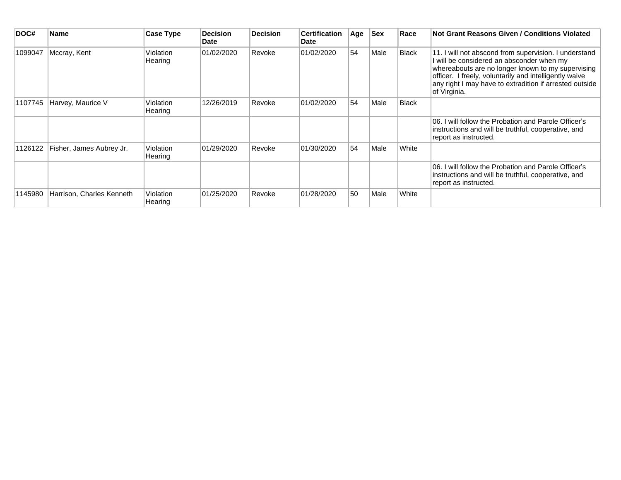| DOC#    | Name                      | Case Type            | <b>Decision</b><br><b>Date</b> | <b>Decision</b> | <b>Certification</b><br><b>Date</b> | Age | <b>Sex</b> | Race  | <b>Not Grant Reasons Given / Conditions Violated</b>                                                                                                                                                                                                                                         |
|---------|---------------------------|----------------------|--------------------------------|-----------------|-------------------------------------|-----|------------|-------|----------------------------------------------------------------------------------------------------------------------------------------------------------------------------------------------------------------------------------------------------------------------------------------------|
| 1099047 | Mccray, Kent              | Violation<br>Hearing | 01/02/2020                     | Revoke          | 01/02/2020                          | 54  | Male       | Black | 11. I will not abscond from supervision. I understand<br>I will be considered an absconder when my<br>whereabouts are no longer known to my supervising<br>officer. I freely, voluntarily and intelligently waive<br>any right I may have to extradition if arrested outside<br>of Virginia. |
| 1107745 | Harvey, Maurice V         | Violation<br>Hearing | 12/26/2019                     | ≀Revoke         | 01/02/2020                          | 54  | Male       | Black |                                                                                                                                                                                                                                                                                              |
|         |                           |                      |                                |                 |                                     |     |            |       | 06. I will follow the Probation and Parole Officer's<br>instructions and will be truthful, cooperative, and<br>report as instructed.                                                                                                                                                         |
| 1126122 | Fisher, James Aubrey Jr.  | Violation<br>Hearing | 01/29/2020                     | Revoke          | 01/30/2020                          | 54  | Male       | White |                                                                                                                                                                                                                                                                                              |
|         |                           |                      |                                |                 |                                     |     |            |       | 06. I will follow the Probation and Parole Officer's<br>instructions and will be truthful, cooperative, and<br>report as instructed.                                                                                                                                                         |
| 1145980 | Harrison, Charles Kenneth | Violation<br>Hearing | 01/25/2020                     | Revoke          | 01/28/2020                          | 50  | Male       | White |                                                                                                                                                                                                                                                                                              |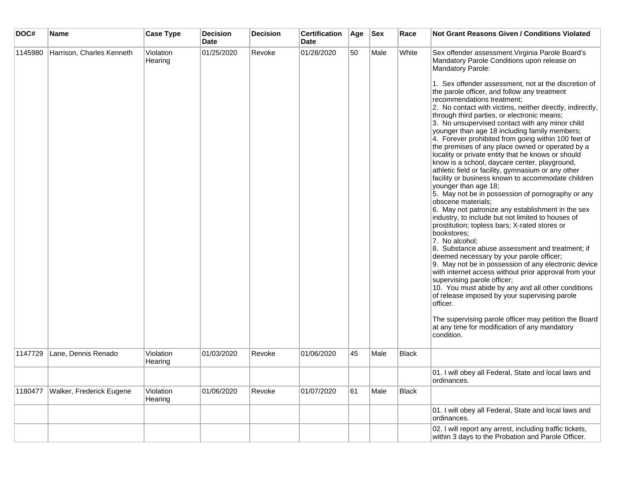| DOC#    | Name                      | <b>Case Type</b>     | <b>Decision</b><br><b>Date</b> | <b>Decision</b> | <b>Certification</b><br>Date | Age | <b>Sex</b> | Race         | <b>Not Grant Reasons Given / Conditions Violated</b>                                                                                                                                                                                                                                                                                                                                                                                                                                                                                                                                                                                                                                                                                                                                                                                                                                                                                                                                                                                                                                                                                                                                                                                                                                                                                                                                                                                                                                                                                                                                              |
|---------|---------------------------|----------------------|--------------------------------|-----------------|------------------------------|-----|------------|--------------|---------------------------------------------------------------------------------------------------------------------------------------------------------------------------------------------------------------------------------------------------------------------------------------------------------------------------------------------------------------------------------------------------------------------------------------------------------------------------------------------------------------------------------------------------------------------------------------------------------------------------------------------------------------------------------------------------------------------------------------------------------------------------------------------------------------------------------------------------------------------------------------------------------------------------------------------------------------------------------------------------------------------------------------------------------------------------------------------------------------------------------------------------------------------------------------------------------------------------------------------------------------------------------------------------------------------------------------------------------------------------------------------------------------------------------------------------------------------------------------------------------------------------------------------------------------------------------------------------|
| 1145980 | Harrison, Charles Kenneth | Violation<br>Hearing | 01/25/2020                     | Revoke          | 01/28/2020                   | 50  | Male       | White        | Sex offender assessment. Virginia Parole Board's<br>Mandatory Parole Conditions upon release on<br>Mandatory Parole:<br>1. Sex offender assessment, not at the discretion of<br>the parole officer, and follow any treatment<br>recommendations treatment;<br>2. No contact with victims, neither directly, indirectly,<br>through third parties, or electronic means;<br>3. No unsupervised contact with any minor child<br>younger than age 18 including family members;<br>4. Forever prohibited from going within 100 feet of<br>the premises of any place owned or operated by a<br>locality or private entity that he knows or should<br>know is a school, daycare center, playground,<br>athletic field or facility, gymnasium or any other<br>facility or business known to accommodate children<br>younger than age 18;<br>5. May not be in possession of pornography or any<br>obscene materials;<br>6. May not patronize any establishment in the sex<br>industry, to include but not limited to houses of<br>prostitution; topless bars; X-rated stores or<br>bookstores:<br>7. No alcohol;<br>8. Substance abuse assessment and treatment; if<br>deemed necessary by your parole officer;<br>9. May not be in possession of any electronic device<br>with internet access without prior approval from your<br>supervising parole officer;<br>10. You must abide by any and all other conditions<br>of release imposed by your supervising parole<br>officer.<br>The supervising parole officer may petition the Board<br>at any time for modification of any mandatory<br>condition. |
| 1147729 | Lane, Dennis Renado       | Violation<br>Hearing | 01/03/2020                     | Revoke          | 01/06/2020                   | 45  | Male       | <b>Black</b> |                                                                                                                                                                                                                                                                                                                                                                                                                                                                                                                                                                                                                                                                                                                                                                                                                                                                                                                                                                                                                                                                                                                                                                                                                                                                                                                                                                                                                                                                                                                                                                                                   |
|         |                           |                      |                                |                 |                              |     |            |              | 01. I will obey all Federal, State and local laws and<br>ordinances.                                                                                                                                                                                                                                                                                                                                                                                                                                                                                                                                                                                                                                                                                                                                                                                                                                                                                                                                                                                                                                                                                                                                                                                                                                                                                                                                                                                                                                                                                                                              |
| 1180477 | Walker, Frederick Eugene  | Violation<br>Hearing | 01/06/2020                     | Revoke          | 01/07/2020                   | 61  | Male       | <b>Black</b> |                                                                                                                                                                                                                                                                                                                                                                                                                                                                                                                                                                                                                                                                                                                                                                                                                                                                                                                                                                                                                                                                                                                                                                                                                                                                                                                                                                                                                                                                                                                                                                                                   |
|         |                           |                      |                                |                 |                              |     |            |              | 01. I will obey all Federal, State and local laws and<br>ordinances.                                                                                                                                                                                                                                                                                                                                                                                                                                                                                                                                                                                                                                                                                                                                                                                                                                                                                                                                                                                                                                                                                                                                                                                                                                                                                                                                                                                                                                                                                                                              |
|         |                           |                      |                                |                 |                              |     |            |              | 02. I will report any arrest, including traffic tickets,<br>within 3 days to the Probation and Parole Officer.                                                                                                                                                                                                                                                                                                                                                                                                                                                                                                                                                                                                                                                                                                                                                                                                                                                                                                                                                                                                                                                                                                                                                                                                                                                                                                                                                                                                                                                                                    |